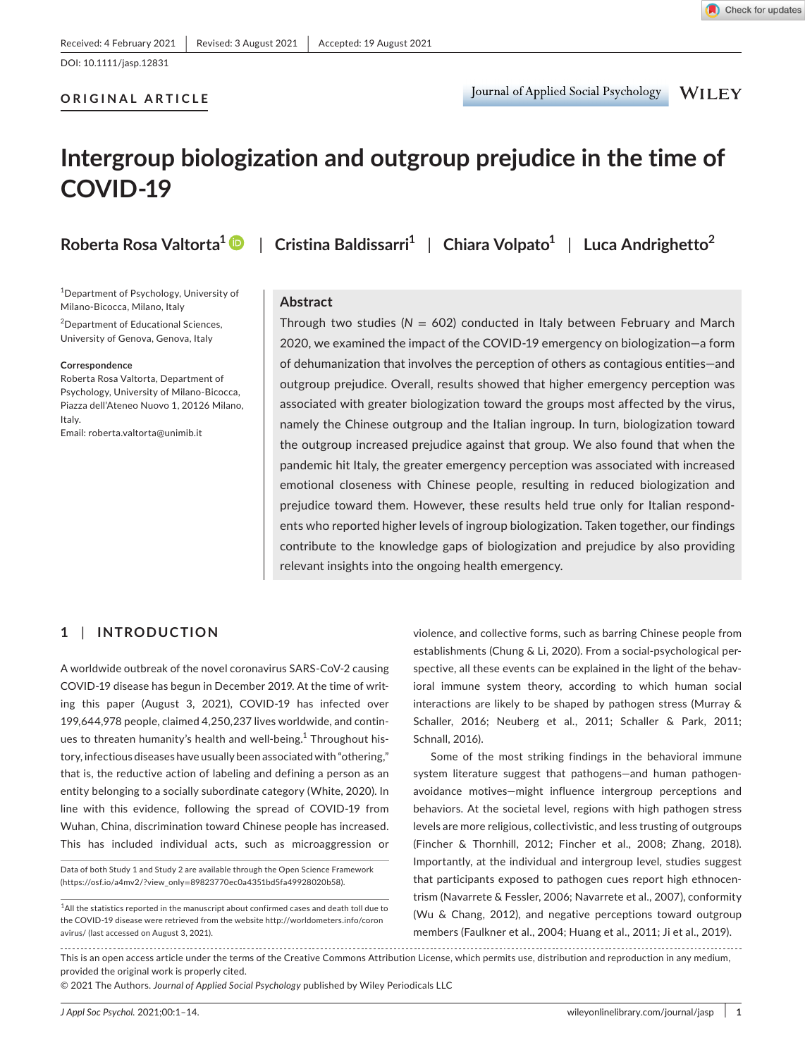DOI: 10.1111/jasp.12831

### **ORIGINAL ARTICLE**

Journal of Applied Social Psychology **WILEY** 

# **Intergroup biologization and outgroup prejudice in the time of COVID-19**

1 Department of Psychology, University of Milano-Bicocca, Milano, Italy

2 Department of Educational Sciences, University of Genova, Genova, Italy

#### **Correspondence**

Roberta Rosa Valtorta, Department of Psychology, University of Milano-Bicocca, Piazza dell'Ateneo Nuovo 1, 20126 Milano, Italy.

Email: [roberta.valtorta@unimib.it](mailto:roberta.valtorta@unimib.it)

# **Roberta Rosa Valtorta[1](https://orcid.org/0000-0003-0565-5463)** | **Cristina Baldissarri1** | **Chiara Volpato1** | **Luca Andrighetto<sup>2</sup>**

#### **Abstract**

Through two studies (*N* = 602) conducted in Italy between February and March 2020, we examined the impact of the COVID-19 emergency on biologization—a form of dehumanization that involves the perception of others as contagious entities—and outgroup prejudice. Overall, results showed that higher emergency perception was associated with greater biologization toward the groups most affected by the virus, namely the Chinese outgroup and the Italian ingroup. In turn, biologization toward the outgroup increased prejudice against that group. We also found that when the pandemic hit Italy, the greater emergency perception was associated with increased emotional closeness with Chinese people, resulting in reduced biologization and prejudice toward them. However, these results held true only for Italian respondents who reported higher levels of ingroup biologization. Taken together, our findings contribute to the knowledge gaps of biologization and prejudice by also providing relevant insights into the ongoing health emergency.

# **1** | **INTRODUCTION**

A worldwide outbreak of the novel coronavirus SARS-CoV-2 causing COVID-19 disease has begun in December 2019. At the time of writing this paper (August 3, 2021), COVID-19 has infected over 199,644,978 people, claimed 4,250,237 lives worldwide, and continues to threaten humanity's health and well-being.<sup>1</sup> Throughout history, infectious diseases have usually been associated with "othering," that is, the reductive action of labeling and defining a person as an entity belonging to a socially subordinate category (White, 2020). In line with this evidence, following the spread of COVID-19 from Wuhan, China, discrimination toward Chinese people has increased. This has included individual acts, such as microaggression or

Data of both Study 1 and Study 2 are available through the Open Science Framework (https://osf.io/a4mv2/?view\_only=89823770ec0a4351bd5fa49928020b58).

violence, and collective forms, such as barring Chinese people from establishments (Chung & Li, 2020). From a social-psychological perspective, all these events can be explained in the light of the behavioral immune system theory, according to which human social interactions are likely to be shaped by pathogen stress (Murray & Schaller, 2016; Neuberg et al., 2011; Schaller & Park, 2011; Schnall, 2016).

Some of the most striking findings in the behavioral immune system literature suggest that pathogens—and human pathogenavoidance motives—might influence intergroup perceptions and behaviors. At the societal level, regions with high pathogen stress levels are more religious, collectivistic, and less trusting of outgroups (Fincher & Thornhill, 2012; Fincher et al., 2008; Zhang, 2018). Importantly, at the individual and intergroup level, studies suggest that participants exposed to pathogen cues report high ethnocentrism (Navarrete & Fessler, 2006; Navarrete et al., 2007), conformity (Wu & Chang, 2012), and negative perceptions toward outgroup members (Faulkner et al., 2004; Huang et al., 2011; Ji et al., 2019).

This is an open access article under the terms of the [Creative Commons Attribution](http://creativecommons.org/licenses/by/4.0/) License, which permits use, distribution and reproduction in any medium, provided the original work is properly cited.

© 2021 The Authors. *Journal of Applied Social Psychology* published by Wiley Periodicals LLC

 $^{\rm 1}$ All the statistics reported in the manuscript about confirmed cases and death toll due to the COVID-19 disease were retrieved from the website [http://worldometers.info/coron](http://worldometers.info/coronavirus/) [avirus/](http://worldometers.info/coronavirus/) (last accessed on August 3, 2021).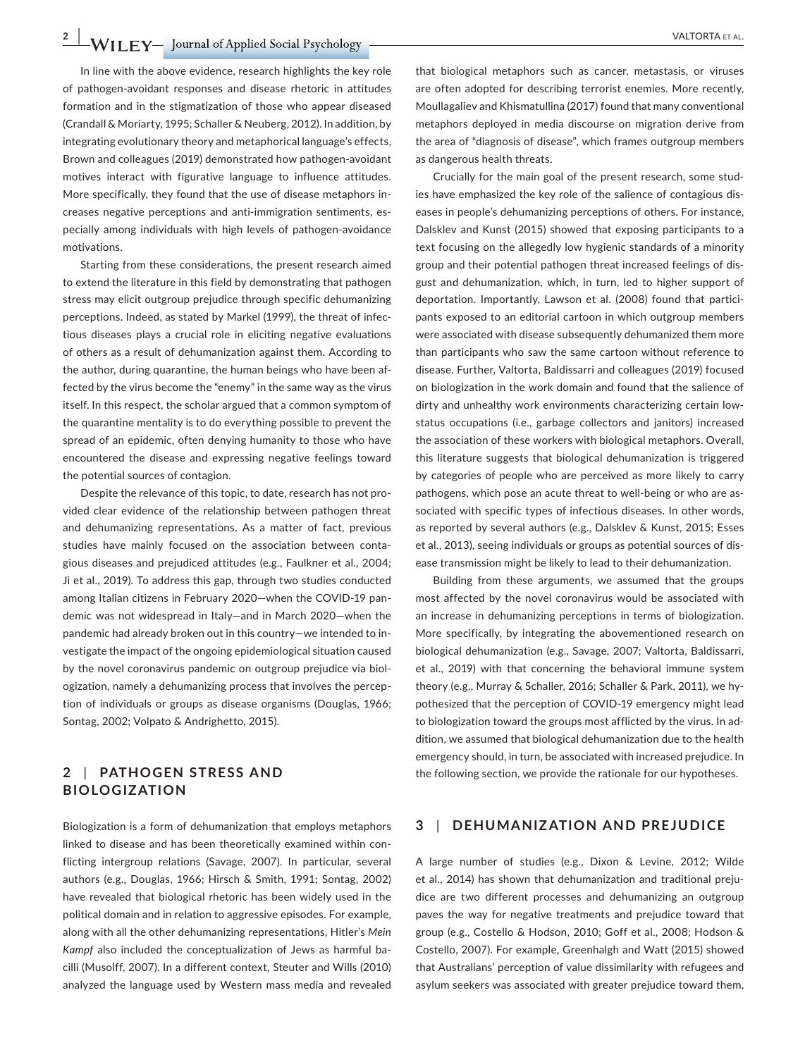**2 WILEY** Journal of Applied Social Psychology **CONSERVAL BURGES** WALTORTA ET AL.

In line with the above evidence, research highlights the key role of pathogen-avoidant responses and disease rhetoric in attitudes formation and in the stigmatization of those who appear diseased (Crandall & Moriarty, 1995; Schaller & Neuberg, 2012). In addition, by integrating evolutionary theory and metaphorical language's effects, Brown and colleagues (2019) demonstrated how pathogen-avoidant motives interact with figurative language to influence attitudes. More specifically, they found that the use of disease metaphors increases negative perceptions and anti-immigration sentiments, especially among individuals with high levels of pathogen-avoidance motivations.

Starting from these considerations, the present research aimed to extend the literature in this field by demonstrating that pathogen stress may elicit outgroup prejudice through specific dehumanizing perceptions. Indeed, as stated by Markel (1999), the threat of infectious diseases plays a crucial role in eliciting negative evaluations of others as a result of dehumanization against them. According to the author, during quarantine, the human beings who have been affected by the virus become the "enemy" in the same way as the virus itself. In this respect, the scholar argued that a common symptom of the quarantine mentality is to do everything possible to prevent the spread of an epidemic, often denying humanity to those who have encountered the disease and expressing negative feelings toward the potential sources of contagion.

Despite the relevance of this topic, to date, research has not provided clear evidence of the relationship between pathogen threat and dehumanizing representations. As a matter of fact, previous studies have mainly focused on the association between contagious diseases and prejudiced attitudes (e.g., Faulkner et al., 2004; Ji et al., 2019). To address this gap, through two studies conducted among Italian citizens in February 2020—when the COVID-19 pandemic was not widespread in Italy—and in March 2020—when the pandemic had already broken out in this country—we intended to investigate the impact of the ongoing epidemiological situation caused by the novel coronavirus pandemic on outgroup prejudice via biologization, namely a dehumanizing process that involves the perception of individuals or groups as disease organisms (Douglas, 1966; Sontag, 2002; Volpato & Andrighetto, 2015).

# **2** | **PATHOGEN STRESS AND BIOLOGIZATION**

Biologization is a form of dehumanization that employs metaphors linked to disease and has been theoretically examined within conflicting intergroup relations (Savage, 2007). In particular, several authors (e.g., Douglas, 1966; Hirsch & Smith, 1991; Sontag, 2002) have revealed that biological rhetoric has been widely used in the political domain and in relation to aggressive episodes. For example, along with all the other dehumanizing representations, Hitler's *Mein Kampf* also included the conceptualization of Jews as harmful bacilli (Musolff, 2007). In a different context, Steuter and Wills (2010) analyzed the language used by Western mass media and revealed

that biological metaphors such as cancer, metastasis, or viruses are often adopted for describing terrorist enemies. More recently, Moullagaliev and Khismatullina (2017) found that many conventional metaphors deployed in media discourse on migration derive from the area of "diagnosis of disease", which frames outgroup members as dangerous health threats.

Crucially for the main goal of the present research, some studies have emphasized the key role of the salience of contagious diseases in people's dehumanizing perceptions of others. For instance, Dalsklev and Kunst (2015) showed that exposing participants to a text focusing on the allegedly low hygienic standards of a minority group and their potential pathogen threat increased feelings of disgust and dehumanization, which, in turn, led to higher support of deportation. Importantly, Lawson et al. (2008) found that participants exposed to an editorial cartoon in which outgroup members were associated with disease subsequently dehumanized them more than participants who saw the same cartoon without reference to disease. Further, Valtorta, Baldissarri and colleagues (2019) focused on biologization in the work domain and found that the salience of dirty and unhealthy work environments characterizing certain lowstatus occupations (i.e., garbage collectors and janitors) increased the association of these workers with biological metaphors. Overall, this literature suggests that biological dehumanization is triggered by categories of people who are perceived as more likely to carry pathogens, which pose an acute threat to well-being or who are associated with specific types of infectious diseases. In other words, as reported by several authors (e.g., Dalsklev & Kunst, 2015; Esses et al., 2013), seeing individuals or groups as potential sources of disease transmission might be likely to lead to their dehumanization.

Building from these arguments, we assumed that the groups most affected by the novel coronavirus would be associated with an increase in dehumanizing perceptions in terms of biologization. More specifically, by integrating the abovementioned research on biological dehumanization (e.g., Savage, 2007; Valtorta, Baldissarri, et al., 2019) with that concerning the behavioral immune system theory (e.g., Murray & Schaller, 2016; Schaller & Park, 2011), we hypothesized that the perception of COVID-19 emergency might lead to biologization toward the groups most afflicted by the virus. In addition, we assumed that biological dehumanization due to the health emergency should, in turn, be associated with increased prejudice. In the following section, we provide the rationale for our hypotheses.

## **3** | **DEHUMANIZATION AND PREJUDICE**

A large number of studies (e.g., Dixon & Levine, 2012; Wilde et al., 2014) has shown that dehumanization and traditional prejudice are two different processes and dehumanizing an outgroup paves the way for negative treatments and prejudice toward that group (e.g., Costello & Hodson, 2010; Goff et al., 2008; Hodson & Costello, 2007). For example, Greenhalgh and Watt (2015) showed that Australians' perception of value dissimilarity with refugees and asylum seekers was associated with greater prejudice toward them,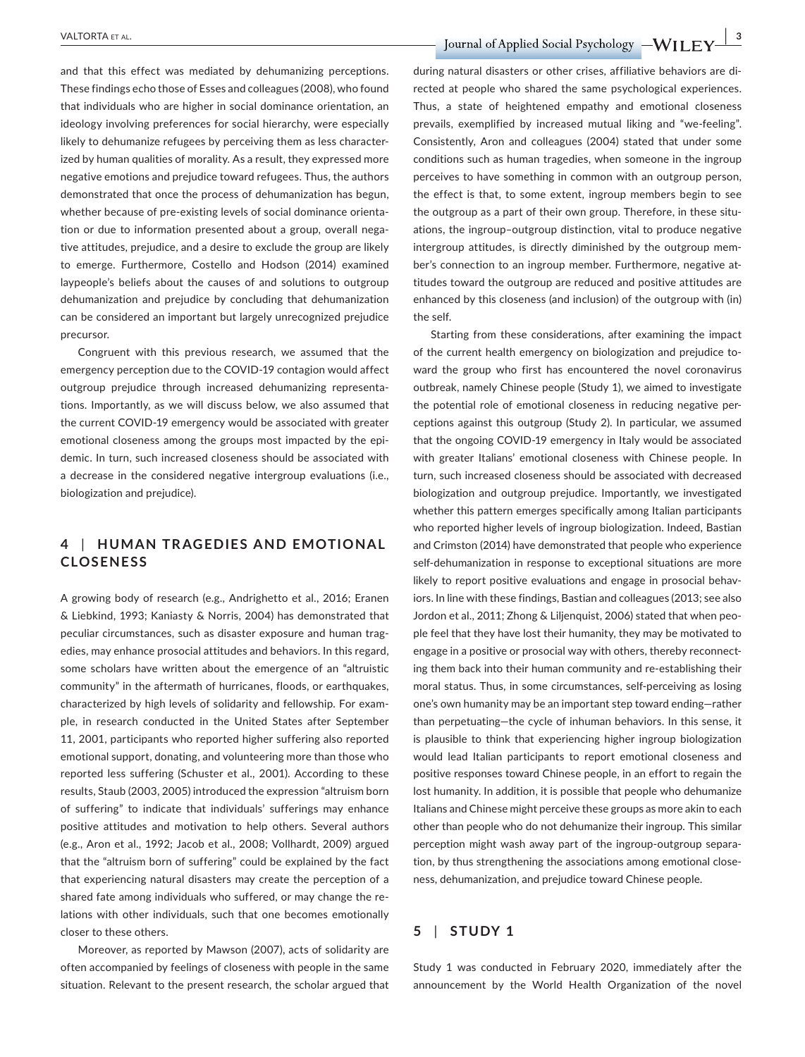and that this effect was mediated by dehumanizing perceptions. These findings echo those of Esses and colleagues (2008), who found that individuals who are higher in social dominance orientation, an ideology involving preferences for social hierarchy, were especially likely to dehumanize refugees by perceiving them as less characterized by human qualities of morality. As a result, they expressed more negative emotions and prejudice toward refugees. Thus, the authors demonstrated that once the process of dehumanization has begun, whether because of pre-existing levels of social dominance orientation or due to information presented about a group, overall negative attitudes, prejudice, and a desire to exclude the group are likely to emerge. Furthermore, Costello and Hodson (2014) examined laypeople's beliefs about the causes of and solutions to outgroup dehumanization and prejudice by concluding that dehumanization can be considered an important but largely unrecognized prejudice precursor.

Congruent with this previous research, we assumed that the emergency perception due to the COVID-19 contagion would affect outgroup prejudice through increased dehumanizing representations. Importantly, as we will discuss below, we also assumed that the current COVID-19 emergency would be associated with greater emotional closeness among the groups most impacted by the epidemic. In turn, such increased closeness should be associated with a decrease in the considered negative intergroup evaluations (i.e., biologization and prejudice).

# **4** | **HUMAN TR AGEDIES AND EMOTIONAL CLOSENESS**

A growing body of research (e.g., Andrighetto et al., 2016; Eranen & Liebkind, 1993; Kaniasty & Norris, 2004) has demonstrated that peculiar circumstances, such as disaster exposure and human tragedies, may enhance prosocial attitudes and behaviors. In this regard, some scholars have written about the emergence of an "altruistic community" in the aftermath of hurricanes, floods, or earthquakes, characterized by high levels of solidarity and fellowship. For example, in research conducted in the United States after September 11, 2001, participants who reported higher suffering also reported emotional support, donating, and volunteering more than those who reported less suffering (Schuster et al., 2001). According to these results, Staub (2003, 2005) introduced the expression "altruism born of suffering" to indicate that individuals' sufferings may enhance positive attitudes and motivation to help others. Several authors (e.g., Aron et al., 1992; Jacob et al., 2008; Vollhardt, 2009) argued that the "altruism born of suffering" could be explained by the fact that experiencing natural disasters may create the perception of a shared fate among individuals who suffered, or may change the relations with other individuals, such that one becomes emotionally closer to these others.

Moreover, as reported by Mawson (2007), acts of solidarity are often accompanied by feelings of closeness with people in the same situation. Relevant to the present research, the scholar argued that

 **PALTORTA ET AL. 2018 TO REFERENT ALL CONTRACT A LET UP:**  $\blacksquare$  **Journal** of Applied Social Psychology  $-\mathbf{W}\mathbf{H}\mathbf{E}\mathbf{Y}$ 

during natural disasters or other crises, affiliative behaviors are directed at people who shared the same psychological experiences. Thus, a state of heightened empathy and emotional closeness prevails, exemplified by increased mutual liking and "we-feeling". Consistently, Aron and colleagues (2004) stated that under some conditions such as human tragedies, when someone in the ingroup perceives to have something in common with an outgroup person, the effect is that, to some extent, ingroup members begin to see the outgroup as a part of their own group. Therefore, in these situations, the ingroup–outgroup distinction, vital to produce negative intergroup attitudes, is directly diminished by the outgroup member's connection to an ingroup member. Furthermore, negative attitudes toward the outgroup are reduced and positive attitudes are enhanced by this closeness (and inclusion) of the outgroup with (in) the self.

Starting from these considerations, after examining the impact of the current health emergency on biologization and prejudice toward the group who first has encountered the novel coronavirus outbreak, namely Chinese people (Study 1), we aimed to investigate the potential role of emotional closeness in reducing negative perceptions against this outgroup (Study 2). In particular, we assumed that the ongoing COVID-19 emergency in Italy would be associated with greater Italians' emotional closeness with Chinese people. In turn, such increased closeness should be associated with decreased biologization and outgroup prejudice. Importantly, we investigated whether this pattern emerges specifically among Italian participants who reported higher levels of ingroup biologization. Indeed, Bastian and Crimston (2014) have demonstrated that people who experience self-dehumanization in response to exceptional situations are more likely to report positive evaluations and engage in prosocial behaviors. In line with these findings, Bastian and colleagues (2013; see also Jordon et al., 2011; Zhong & Liljenquist, 2006) stated that when people feel that they have lost their humanity, they may be motivated to engage in a positive or prosocial way with others, thereby reconnecting them back into their human community and re-establishing their moral status. Thus, in some circumstances, self-perceiving as losing one's own humanity may be an important step toward ending—rather than perpetuating—the cycle of inhuman behaviors. In this sense, it is plausible to think that experiencing higher ingroup biologization would lead Italian participants to report emotional closeness and positive responses toward Chinese people, in an effort to regain the lost humanity. In addition, it is possible that people who dehumanize Italians and Chinese might perceive these groups as more akin to each other than people who do not dehumanize their ingroup. This similar perception might wash away part of the ingroup-outgroup separation, by thus strengthening the associations among emotional closeness, dehumanization, and prejudice toward Chinese people.

# **5** | **STUDY 1**

Study 1 was conducted in February 2020, immediately after the announcement by the World Health Organization of the novel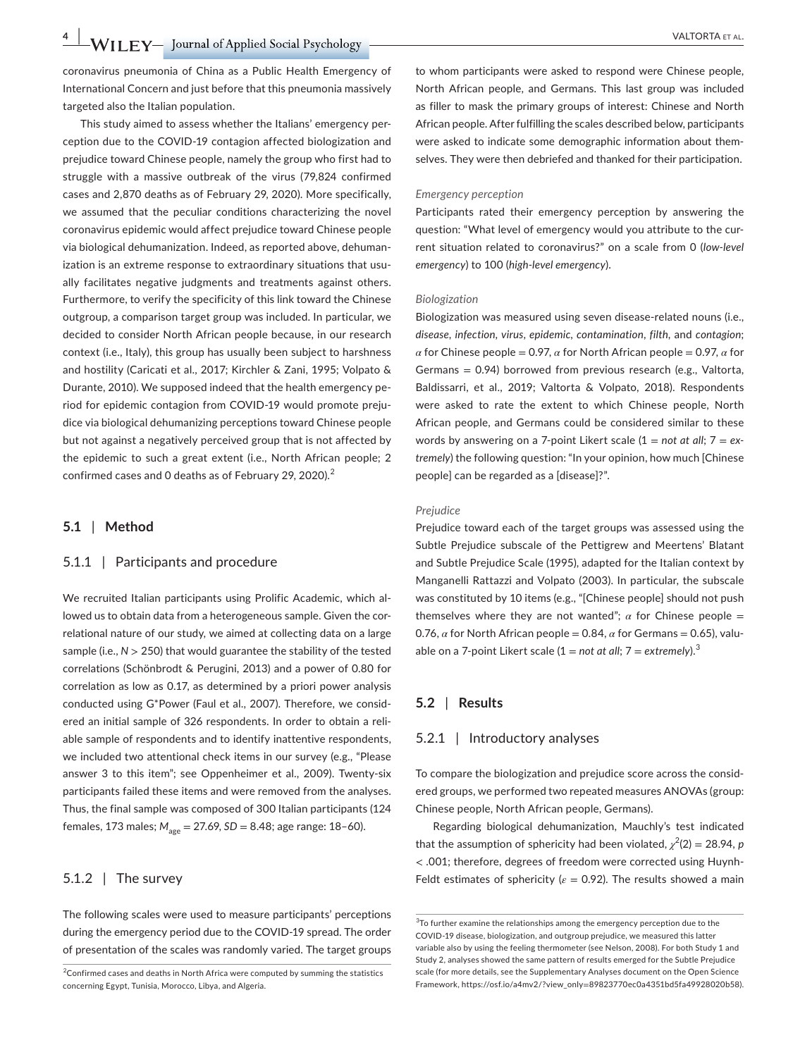**4 |**  VALTORTA et al.

coronavirus pneumonia of China as a Public Health Emergency of International Concern and just before that this pneumonia massively targeted also the Italian population.

This study aimed to assess whether the Italians' emergency perception due to the COVID-19 contagion affected biologization and prejudice toward Chinese people, namely the group who first had to struggle with a massive outbreak of the virus (79,824 confirmed cases and 2,870 deaths as of February 29, 2020). More specifically, we assumed that the peculiar conditions characterizing the novel coronavirus epidemic would affect prejudice toward Chinese people via biological dehumanization. Indeed, as reported above, dehumanization is an extreme response to extraordinary situations that usually facilitates negative judgments and treatments against others. Furthermore, to verify the specificity of this link toward the Chinese outgroup, a comparison target group was included. In particular, we decided to consider North African people because, in our research context (i.e., Italy), this group has usually been subject to harshness and hostility (Caricati et al., 2017; Kirchler & Zani, 1995; Volpato & Durante, 2010). We supposed indeed that the health emergency period for epidemic contagion from COVID-19 would promote prejudice via biological dehumanizing perceptions toward Chinese people but not against a negatively perceived group that is not affected by the epidemic to such a great extent (i.e., North African people; 2 confirmed cases and 0 deaths as of February 29, 2020).<sup>2</sup>

#### **5.1** | **Method**

#### 5.1.1 | Participants and procedure

We recruited Italian participants using Prolific Academic, which allowed us to obtain data from a heterogeneous sample. Given the correlational nature of our study, we aimed at collecting data on a large sample (i.e.,  $N > 250$ ) that would guarantee the stability of the tested correlations (Schönbrodt & Perugini, 2013) and a power of 0.80 for correlation as low as 0.17, as determined by a priori power analysis conducted using G\*Power (Faul et al., 2007). Therefore, we considered an initial sample of 326 respondents. In order to obtain a reliable sample of respondents and to identify inattentive respondents, we included two attentional check items in our survey (e.g., "Please answer 3 to this item"; see Oppenheimer et al., 2009). Twenty-six participants failed these items and were removed from the analyses. Thus, the final sample was composed of 300 Italian participants (124 females, 173 males;  $M_{\text{age}} = 27.69$ , *SD* = 8.48; age range: 18-60).

#### 5.1.2 | The survey

The following scales were used to measure participants' perceptions during the emergency period due to the COVID-19 spread. The order of presentation of the scales was randomly varied. The target groups

to whom participants were asked to respond were Chinese people, North African people, and Germans. This last group was included as filler to mask the primary groups of interest: Chinese and North African people. After fulfilling the scales described below, participants were asked to indicate some demographic information about themselves. They were then debriefed and thanked for their participation.

#### *Emergency perception*

Participants rated their emergency perception by answering the question: "What level of emergency would you attribute to the current situation related to coronavirus?" on a scale from 0 (*low-level emergency*) to 100 (*high-level emergency*).

#### *Biologization*

Biologization was measured using seven disease-related nouns (i.e., *disease, infection, virus*, *epidemic, contamination*, *filth*, and *contagion*; *α* for Chinese people = 0.97, *α* for North African people = 0.97, *α* for Germans = 0.94) borrowed from previous research (e.g., Valtorta, Baldissarri, et al., 2019; Valtorta & Volpato, 2018). Respondents were asked to rate the extent to which Chinese people, North African people, and Germans could be considered similar to these words by answering on a 7-point Likert scale (1 = *not at all*; 7 = *extremely*) the following question: "In your opinion, how much [Chinese people] can be regarded as a [disease]?".

#### *Prejudice*

Prejudice toward each of the target groups was assessed using the Subtle Prejudice subscale of the Pettigrew and Meertens' Blatant and Subtle Prejudice Scale (1995), adapted for the Italian context by Manganelli Rattazzi and Volpato (2003). In particular, the subscale was constituted by 10 items (e.g., "[Chinese people] should not push themselves where they are not wanted";  $\alpha$  for Chinese people = 0.76,  $\alpha$  for North African people = 0.84,  $\alpha$  for Germans = 0.65), valuable on a 7-point Likert scale  $(1 = not at all; 7 = extremely).$ <sup>3</sup>

#### **5.2** | **Results**

#### 5.2.1 | Introductory analyses

To compare the biologization and prejudice score across the considered groups, we performed two repeated measures ANOVAs (group: Chinese people, North African people, Germans).

Regarding biological dehumanization, Mauchly's test indicated that the assumption of sphericity had been violated,  $\chi^2(2) = 28.94$ , *p* < .001; therefore, degrees of freedom were corrected using Huynh-Feldt estimates of sphericity ( $\varepsilon = 0.92$ ). The results showed a main

<sup>&</sup>lt;sup>2</sup>Confirmed cases and deaths in North Africa were computed by summing the statistics concerning Egypt, Tunisia, Morocco, Libya, and Algeria.

 $3$ To further examine the relationships among the emergency perception due to the COVID-19 disease, biologization, and outgroup prejudice, we measured this latter variable also by using the feeling thermometer (see Nelson, 2008). For both Study 1 and Study 2, analyses showed the same pattern of results emerged for the Subtle Prejudice scale (for more details, see the Supplementary Analyses document on the Open Science Framework, https://osf.io/a4mv2/?view\_only=[89823770ec0a4351bd5fa49928020b58](https://osf.io/a4mv2/?view_only=89823770ec0a4351bd5fa49928020b58)).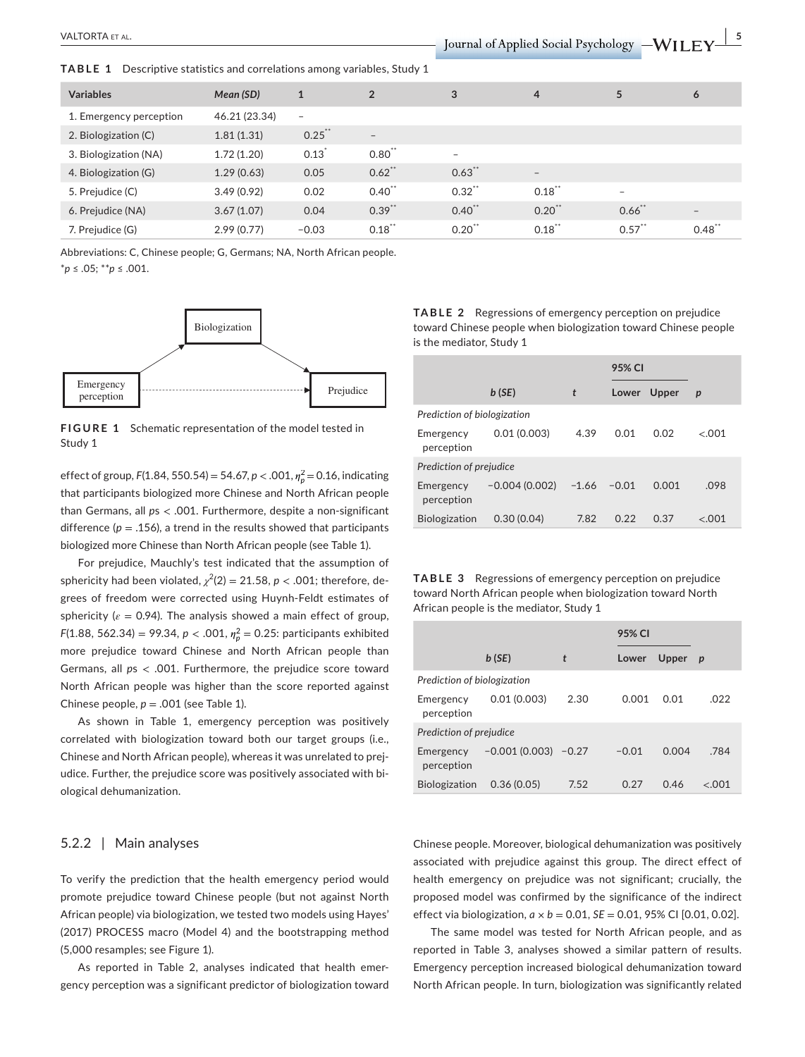**TABLE 1** Descriptive statistics and correlations among variables, Study 1

| <b>Variables</b>        | Mean (SD)     | $\mathbf{1}$             | $\overline{2}$    | 3                        | 4                        | 5         | 6                 |
|-------------------------|---------------|--------------------------|-------------------|--------------------------|--------------------------|-----------|-------------------|
| 1. Emergency perception | 46.21 (23.34) | $\overline{\phantom{a}}$ |                   |                          |                          |           |                   |
| 2. Biologization (C)    | 1.81(1.31)    | $0.25$ **                | $\qquad \qquad -$ |                          |                          |           |                   |
| 3. Biologization (NA)   | 1.72(1.20)    | $0.13$ <sup>*</sup>      | $0.80$ **         | $\overline{\phantom{0}}$ |                          |           |                   |
| 4. Biologization (G)    | 1.29(0.63)    | 0.05                     | $0.62$ **         | 0.63                     | $\overline{\phantom{a}}$ |           |                   |
| 5. Prejudice (C)        | 3.49(0.92)    | 0.02                     | $0.40$ **         | 0.32                     | $0.18$ **                | $\sim$    |                   |
| 6. Prejudice (NA)       | 3.67(1.07)    | 0.04                     | $0.39$ **         | $0.40$ **                | $0.20$ **                | 0.66      | $\qquad \qquad -$ |
| 7. Prejudice (G)        | 2.99(0.77)    | $-0.03$                  | $0.18$ **         | 0.20                     | $0.18$ **                | $0.57$ ** | $0.48^{\degree}$  |

Abbreviations: C, Chinese people; G, Germans; NA, North African people. \**p* ≤ .05; \*\**p* ≤ .001.



**FIGURE 1** Schematic representation of the model tested in Study 1

effect of group, *F*(1.84, 550.54) = 54.67, *p* < .001, *𝜂*<sup>2</sup> *<sup>p</sup>* = 0.16, indicating that participants biologized more Chinese and North African people than Germans, all *p*s < .001. Furthermore, despite a non-significant difference ( $p = .156$ ), a trend in the results showed that participants biologized more Chinese than North African people (see Table 1).

For prejudice, Mauchly's test indicated that the assumption of sphericity had been violated,  $\chi^2(2)=21.58$ ,  $p < .001$ ; therefore, degrees of freedom were corrected using Huynh-Feldt estimates of sphericity ( $\varepsilon$  = 0.94). The analysis showed a main effect of group, *F*(1.88, 562.34) = 99.34, *p* < .001,  $\eta_p^2$  = 0.25: participants exhibited more prejudice toward Chinese and North African people than Germans, all *p*s < .001. Furthermore, the prejudice score toward North African people was higher than the score reported against Chinese people,  $p = .001$  (see Table 1).

As shown in Table 1, emergency perception was positively correlated with biologization toward both our target groups (i.e., Chinese and North African people), whereas it was unrelated to prejudice. Further, the prejudice score was positively associated with biological dehumanization.

#### 5.2.2 | Main analyses

To verify the prediction that the health emergency period would promote prejudice toward Chinese people (but not against North African people) via biologization, we tested two models using Hayes' (2017) PROCESS macro (Model 4) and the bootstrapping method (5,000 resamples; see Figure 1).

As reported in Table 2, analyses indicated that health emergency perception was a significant predictor of biologization toward **TABLE 2** Regressions of emergency perception on prejudice toward Chinese people when biologization toward Chinese people is the mediator, Study 1

|                             |                 |              | 95% CI  |       |                  |  |  |
|-----------------------------|-----------------|--------------|---------|-------|------------------|--|--|
|                             | b(SE)           | $\mathbf{t}$ | Lower   | Upper | $\boldsymbol{p}$ |  |  |
| Prediction of biologization |                 |              |         |       |                  |  |  |
| Emergency<br>perception     | 0.01(0.003)     | 4.39         | 0.01    | 0.02  | < 001            |  |  |
| Prediction of prejudice     |                 |              |         |       |                  |  |  |
| Emergency<br>perception     | $-0.004(0.002)$ | $-1.66$      | $-0.01$ | 0.001 | .098             |  |  |
| <b>Biologization</b>        | 0.30(0.04)      | 7.82         | 0.22    | 0.37  | < 0.01           |  |  |

**TABLE 3** Regressions of emergency perception on prejudice toward North African people when biologization toward North African people is the mediator, Study 1

|                             |                 |         | 95% CI  |       |                  |  |
|-----------------------------|-----------------|---------|---------|-------|------------------|--|
|                             | b(SE)           | t       | Lower   | Upper | $\boldsymbol{p}$ |  |
| Prediction of biologization |                 |         |         |       |                  |  |
| Emergency<br>perception     | 0.01(0.003)     | 2.30    | 0.001   | 0.01  | .022             |  |
| Prediction of prejudice     |                 |         |         |       |                  |  |
| Emergency<br>perception     | $-0.001(0.003)$ | $-0.27$ | $-0.01$ | 0.004 | .784             |  |
| <b>Biologization</b>        | 0.36(0.05)      | 7.52    | 0.27    | 0.46  | < 001            |  |

Chinese people. Moreover, biological dehumanization was positively associated with prejudice against this group. The direct effect of health emergency on prejudice was not significant; crucially, the proposed model was confirmed by the significance of the indirect effect via biologization, *a × b* = 0.01, *SE* = 0.01, 95% CI [0.01, 0.02].

The same model was tested for North African people, and as reported in Table 3, analyses showed a similar pattern of results. Emergency perception increased biological dehumanization toward North African people. In turn, biologization was significantly related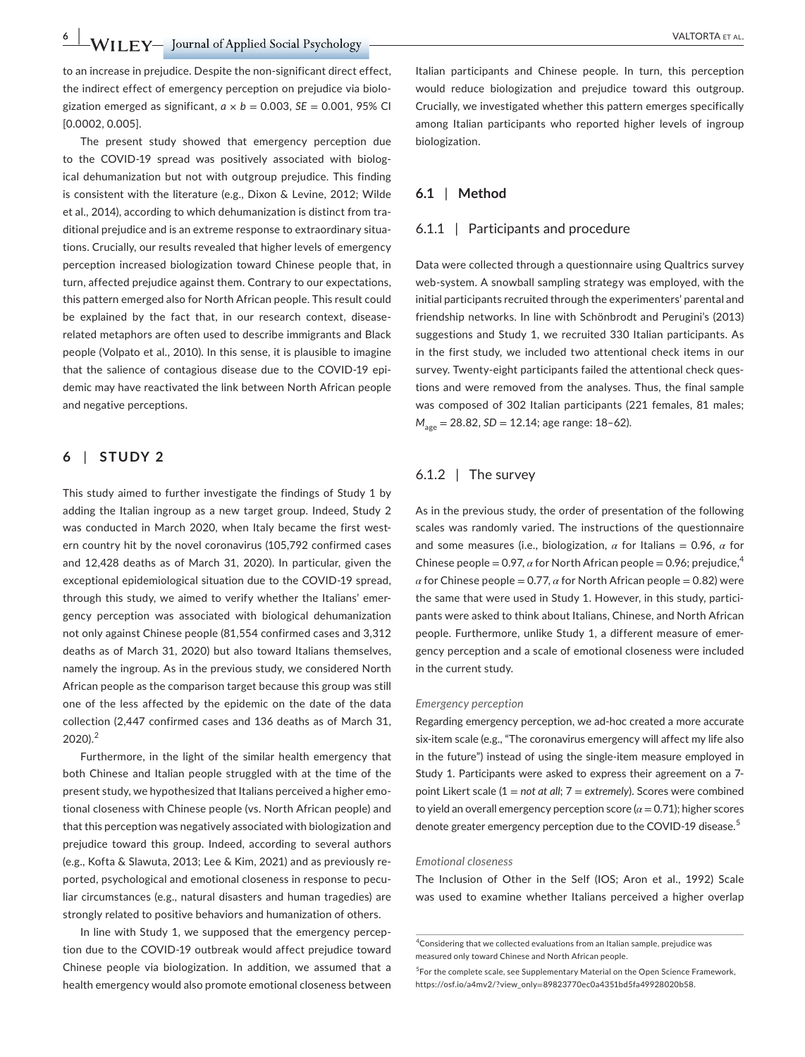to an increase in prejudice. Despite the non-significant direct effect, the indirect effect of emergency perception on prejudice via biologization emerged as significant,  $a \times b = 0.003$ ,  $SE = 0.001$ , 95% CI [0.0002, 0.005].

The present study showed that emergency perception due to the COVID-19 spread was positively associated with biological dehumanization but not with outgroup prejudice. This finding is consistent with the literature (e.g., Dixon & Levine, 2012; Wilde et al., 2014), according to which dehumanization is distinct from traditional prejudice and is an extreme response to extraordinary situations. Crucially, our results revealed that higher levels of emergency perception increased biologization toward Chinese people that, in turn, affected prejudice against them. Contrary to our expectations, this pattern emerged also for North African people. This result could be explained by the fact that, in our research context, diseaserelated metaphors are often used to describe immigrants and Black people (Volpato et al., 2010). In this sense, it is plausible to imagine that the salience of contagious disease due to the COVID-19 epidemic may have reactivated the link between North African people and negative perceptions.

### **6** | **STUDY 2**

This study aimed to further investigate the findings of Study 1 by adding the Italian ingroup as a new target group. Indeed, Study 2 was conducted in March 2020, when Italy became the first western country hit by the novel coronavirus (105,792 confirmed cases and 12,428 deaths as of March 31, 2020). In particular, given the exceptional epidemiological situation due to the COVID-19 spread, through this study, we aimed to verify whether the Italians' emergency perception was associated with biological dehumanization not only against Chinese people (81,554 confirmed cases and 3,312 deaths as of March 31, 2020) but also toward Italians themselves, namely the ingroup. As in the previous study, we considered North African people as the comparison target because this group was still one of the less affected by the epidemic on the date of the data collection (2,447 confirmed cases and 136 deaths as of March 31, 2020).<sup>2</sup>

Furthermore, in the light of the similar health emergency that both Chinese and Italian people struggled with at the time of the present study, we hypothesized that Italians perceived a higher emotional closeness with Chinese people (vs. North African people) and that this perception was negatively associated with biologization and prejudice toward this group. Indeed, according to several authors (e.g., Kofta & Slawuta, 2013; Lee & Kim, 2021) and as previously reported, psychological and emotional closeness in response to peculiar circumstances (e.g., natural disasters and human tragedies) are strongly related to positive behaviors and humanization of others.

In line with Study 1, we supposed that the emergency perception due to the COVID-19 outbreak would affect prejudice toward Chinese people via biologization. In addition, we assumed that a health emergency would also promote emotional closeness between

Italian participants and Chinese people. In turn, this perception would reduce biologization and prejudice toward this outgroup. Crucially, we investigated whether this pattern emerges specifically among Italian participants who reported higher levels of ingroup biologization.

#### **6.1** | **Method**

### 6.1.1 | Participants and procedure

Data were collected through a questionnaire using Qualtrics survey web-system. A snowball sampling strategy was employed, with the initial participants recruited through the experimenters' parental and friendship networks. In line with Schönbrodt and Perugini's (2013) suggestions and Study 1, we recruited 330 Italian participants. As in the first study, we included two attentional check items in our survey. Twenty-eight participants failed the attentional check questions and were removed from the analyses. Thus, the final sample was composed of 302 Italian participants (221 females, 81 males; *M*<sub>age</sub> = 28.82, *SD* = 12.14; age range: 18-62).

#### 6.1.2 | The survey

As in the previous study, the order of presentation of the following scales was randomly varied. The instructions of the questionnaire and some measures (i.e., biologization,  $\alpha$  for Italians = 0.96,  $\alpha$  for Chinese people = 0.97,  $\alpha$  for North African people = 0.96; prejudice,<sup>4</sup>  $\alpha$  for Chinese people = 0.77,  $\alpha$  for North African people = 0.82) were the same that were used in Study 1. However, in this study, participants were asked to think about Italians, Chinese, and North African people. Furthermore, unlike Study 1, a different measure of emergency perception and a scale of emotional closeness were included in the current study.

#### *Emergency perception*

Regarding emergency perception, we ad-hoc created a more accurate six-item scale (e.g., "The coronavirus emergency will affect my life also in the future") instead of using the single-item measure employed in Study 1. Participants were asked to express their agreement on a 7 point Likert scale (1 = *not at all*; 7 = *extremely*). Scores were combined to yield an overall emergency perception score  $(a = 0.71)$ ; higher scores denote greater emergency perception due to the COVID-19 disease.<sup>5</sup>

#### *Emotional closeness*

The Inclusion of Other in the Self (IOS; Aron et al., 1992) Scale was used to examine whether Italians perceived a higher overlap

<sup>&</sup>lt;sup>4</sup> Considering that we collected evaluations from an Italian sample, prejudice was measured only toward Chinese and North African people.

<sup>&</sup>lt;sup>5</sup>For the complete scale, see Supplementary Material on the Open Science Framework, https://osf.io/a4mv2/?view\_only=[89823770ec0a4351bd5fa49928020b58](https://osf.io/a4mv2/?view_only=89823770ec0a4351bd5fa49928020b58).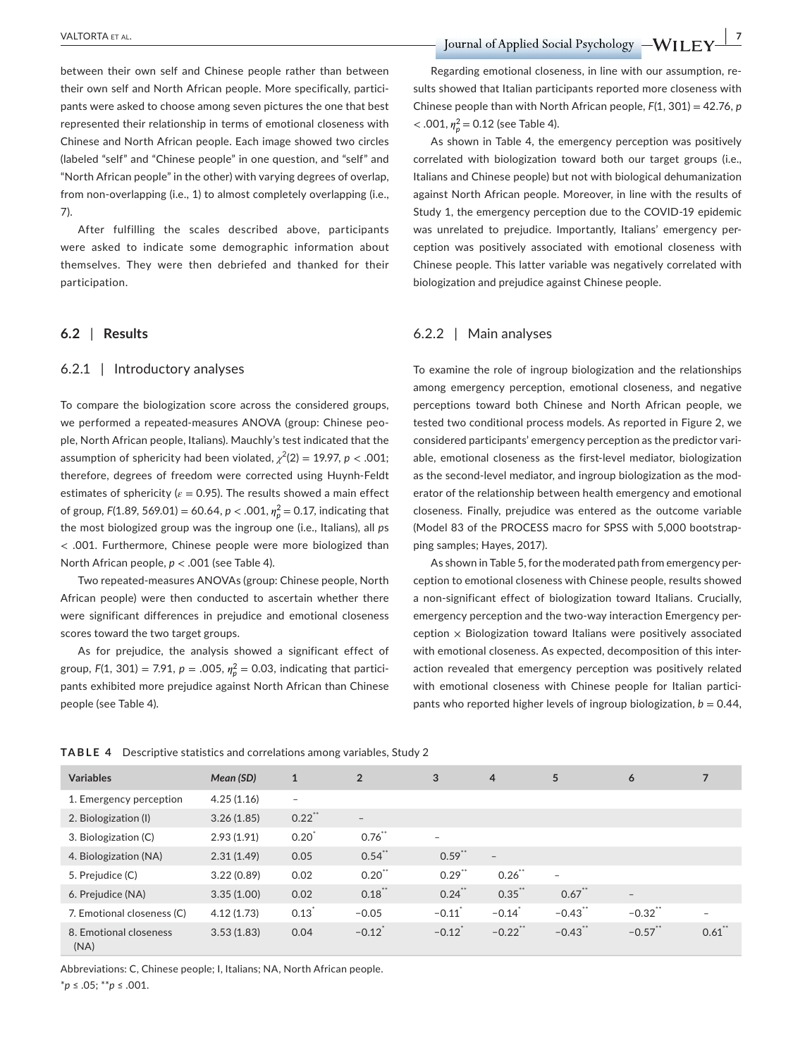between their own self and Chinese people rather than between their own self and North African people. More specifically, participants were asked to choose among seven pictures the one that best represented their relationship in terms of emotional closeness with Chinese and North African people. Each image showed two circles (labeled "self" and "Chinese people" in one question, and "self" and "North African people" in the other) with varying degrees of overlap, from non-overlapping (i.e., 1) to almost completely overlapping (i.e., 7).

After fulfilling the scales described above, participants were asked to indicate some demographic information about themselves. They were then debriefed and thanked for their participation.

#### **6.2** | **Results**

#### 6.2.1 | Introductory analyses

To compare the biologization score across the considered groups, we performed a repeated-measures ANOVA (group: Chinese people, North African people, Italians). Mauchly's test indicated that the assumption of sphericity had been violated,  $\chi^2(2) = 19.97$ ,  $p < .001$ ; therefore, degrees of freedom were corrected using Huynh-Feldt estimates of sphericity ( $\varepsilon$  = 0.95). The results showed a main effect of group, *F*(1.89, 569.01) = 60.64, *p* < .001, *𝜂*<sup>2</sup> *<sup>p</sup>* = 0.17, indicating that the most biologized group was the ingroup one (i.e., Italians), all *p*s < .001. Furthermore, Chinese people were more biologized than North African people, *p* < .001 (see Table 4).

Two repeated-measures ANOVAs (group: Chinese people, North African people) were then conducted to ascertain whether there were significant differences in prejudice and emotional closeness scores toward the two target groups.

As for prejudice, the analysis showed a significant effect of group,  $F(1, 301) = 7.91$ ,  $p = .005$ ,  $\eta_p^2 = 0.03$ , indicating that participants exhibited more prejudice against North African than Chinese people (see Table 4).

Regarding emotional closeness, in line with our assumption, results showed that Italian participants reported more closeness with Chinese people than with North African people, *F*(1, 301) = 42.76, *p*  $<$  .001,  $\eta_p^2$  = 0.12 (see Table 4).

As shown in Table 4, the emergency perception was positively correlated with biologization toward both our target groups (i.e., Italians and Chinese people) but not with biological dehumanization against North African people. Moreover, in line with the results of Study 1, the emergency perception due to the COVID-19 epidemic was unrelated to prejudice. Importantly, Italians' emergency perception was positively associated with emotional closeness with Chinese people. This latter variable was negatively correlated with biologization and prejudice against Chinese people.

#### 6.2.2 | Main analyses

To examine the role of ingroup biologization and the relationships among emergency perception, emotional closeness, and negative perceptions toward both Chinese and North African people, we tested two conditional process models. As reported in Figure 2, we considered participants' emergency perception as the predictor variable, emotional closeness as the first-level mediator, biologization as the second-level mediator, and ingroup biologization as the moderator of the relationship between health emergency and emotional closeness. Finally, prejudice was entered as the outcome variable (Model 83 of the PROCESS macro for SPSS with 5,000 bootstrapping samples; Hayes, 2017).

As shown in Table 5, for the moderated path from emergency perception to emotional closeness with Chinese people, results showed a non-significant effect of biologization toward Italians. Crucially, emergency perception and the two-way interaction Emergency per $c$ eption  $\times$  Biologization toward Italians were positively associated with emotional closeness. As expected, decomposition of this interaction revealed that emergency perception was positively related with emotional closeness with Chinese people for Italian participants who reported higher levels of ingroup biologization,  $b = 0.44$ ,

| <b>Variables</b>               | Mean (SD)  | $\mathbf{1}$             | $\overline{2}$       | 3                        | $\overline{4}$       | 5                        | 6                        |           |
|--------------------------------|------------|--------------------------|----------------------|--------------------------|----------------------|--------------------------|--------------------------|-----------|
| 1. Emergency perception        | 4.25(1.16) | $\overline{\phantom{a}}$ |                      |                          |                      |                          |                          |           |
| 2. Biologization (I)           | 3.26(1.85) | 0.22                     | $\qquad \qquad -$    |                          |                      |                          |                          |           |
| 3. Biologization (C)           | 2.93(1.91) | $0.20^{1}$               | 0.76                 | $\overline{\phantom{0}}$ |                      |                          |                          |           |
| 4. Biologization (NA)          | 2.31(1.49) | 0.05                     | $0.54$ **            | $0.59$ **                | $\qquad \qquad -$    |                          |                          |           |
| 5. Prejudice (C)               | 3.22(0.89) | 0.02                     | $0.20$ **            | $0.29$ **                | $0.26$ **            | $\overline{\phantom{a}}$ |                          |           |
| 6. Prejudice (NA)              | 3.35(1.00) | 0.02                     | $0.18$ **            | 0.24                     | $0.35$ **            | $0.67$ **                | $\overline{\phantom{0}}$ |           |
| 7. Emotional closeness (C)     | 4.12(1.73) | 0.13                     | $-0.05$              | $-0.11$                  | $-0.14$ <sup>*</sup> | $-0.43$ **               | $-0.32$ **               | -         |
| 8. Emotional closeness<br>(NA) | 3.53(1.83) | 0.04                     | $-0.12$ <sup>*</sup> | $-0.12$ <sup>*</sup>     | $-0.22$ **           | $-0.43$ <sup>**</sup>    | $-0.57$ **               | $0.61$ ** |

**TABLE 4** Descriptive statistics and correlations among variables, Study 2

Abbreviations: C, Chinese people; I, Italians; NA, North African people. \**p* ≤ .05; \*\**p* ≤ .001.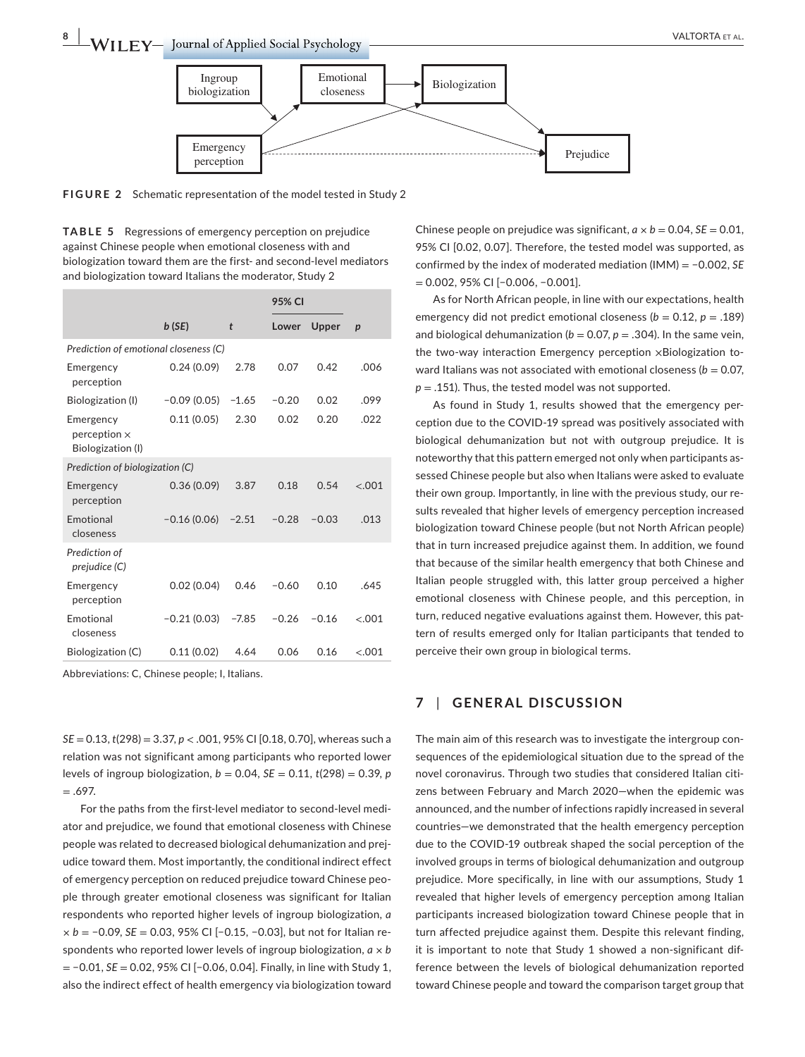



**FIGURE 2** Schematic representation of the model tested in Study 2

**TABLE 5** Regressions of emergency perception on prejudice against Chinese people when emotional closeness with and biologization toward them are the first- and second-level mediators and biologization toward Italians the moderator, Study 2

|                                                       |               |         | 95% CI  |         |                  |
|-------------------------------------------------------|---------------|---------|---------|---------|------------------|
|                                                       | b(SE)         | t       | Lower   | Upper   | $\boldsymbol{p}$ |
| Prediction of emotional closeness (C)                 |               |         |         |         |                  |
| Emergency<br>perception                               | 0.24(0.09)    | 2.78    | 0.07    | 0.42    | .006             |
| Biologization (I)                                     | $-0.09(0.05)$ | $-1.65$ | $-0.20$ | 0.02    | .099             |
| Emergency<br>$perception \times$<br>Biologization (I) | 0.11(0.05)    | 2.30    | 0.02    | 0.20    | .022             |
| Prediction of biologization (C)                       |               |         |         |         |                  |
| Emergency<br>perception                               | 0.36(0.09)    | 3.87    | 0.18    | 0.54    | $-.001$          |
| <b>Emotional</b><br>closeness                         | $-0.16(0.06)$ | $-2.51$ | $-0.28$ | $-0.03$ | .013             |
| Prediction of<br>prejudice (C)                        |               |         |         |         |                  |
| Emergency<br>perception                               | 0.02(0.04)    | 0.46    | $-0.60$ | 0.10    | .645             |
| Emotional<br>closeness                                | $-0.21(0.03)$ | $-7.85$ | $-0.26$ | $-0.16$ | $-.001$          |
| Biologization (C)                                     | 0.11(0.02)    | 4.64    | 0.06    | 0.16    | $-.001$          |

Abbreviations: C, Chinese people; I, Italians.

*SE* = 0.13, *t*(298) = 3.37, *p* < .001, 95% CI [0.18, 0.70], whereas such a relation was not significant among participants who reported lower levels of ingroup biologization,  $b = 0.04$ ,  $SE = 0.11$ ,  $t(298) = 0.39$ , *p*  $=.697.$ 

For the paths from the first-level mediator to second-level mediator and prejudice, we found that emotional closeness with Chinese people was related to decreased biological dehumanization and prejudice toward them. Most importantly, the conditional indirect effect of emergency perception on reduced prejudice toward Chinese people through greater emotional closeness was significant for Italian respondents who reported higher levels of ingroup biologization, *a × b* = −0.09, *SE* = 0.03, 95% CI [−0.15, −0.03], but not for Italian respondents who reported lower levels of ingroup biologization, *a × b* = −0.01, *SE* = 0.02, 95% CI [−0.06, 0.04]. Finally, in line with Study 1, also the indirect effect of health emergency via biologization toward

Chinese people on prejudice was significant,  $a \times b = 0.04$ ,  $SE = 0.01$ , 95% CI [0.02, 0.07]. Therefore, the tested model was supported, as confirmed by the index of moderated mediation (IMM) = −0.002, *SE* = 0.002, 95% CI [−0.006, −0.001].

As for North African people, in line with our expectations, health emergency did not predict emotional closeness ( $b = 0.12$ ,  $p = .189$ ) and biological dehumanization ( $b = 0.07$ ,  $p = .304$ ). In the same vein, the two-way interaction Emergency perception ×Biologization toward Italians was not associated with emotional closeness ( $b = 0.07$ ,  $p = .151$ ). Thus, the tested model was not supported.

As found in Study 1, results showed that the emergency perception due to the COVID-19 spread was positively associated with biological dehumanization but not with outgroup prejudice. It is noteworthy that this pattern emerged not only when participants assessed Chinese people but also when Italians were asked to evaluate their own group. Importantly, in line with the previous study, our results revealed that higher levels of emergency perception increased biologization toward Chinese people (but not North African people) that in turn increased prejudice against them. In addition, we found that because of the similar health emergency that both Chinese and Italian people struggled with, this latter group perceived a higher emotional closeness with Chinese people, and this perception, in turn, reduced negative evaluations against them. However, this pattern of results emerged only for Italian participants that tended to perceive their own group in biological terms.

### **7** | **GENERAL DISCUSSION**

The main aim of this research was to investigate the intergroup consequences of the epidemiological situation due to the spread of the novel coronavirus. Through two studies that considered Italian citizens between February and March 2020—when the epidemic was announced, and the number of infections rapidly increased in several countries—we demonstrated that the health emergency perception due to the COVID-19 outbreak shaped the social perception of the involved groups in terms of biological dehumanization and outgroup prejudice. More specifically, in line with our assumptions, Study 1 revealed that higher levels of emergency perception among Italian participants increased biologization toward Chinese people that in turn affected prejudice against them. Despite this relevant finding, it is important to note that Study 1 showed a non-significant difference between the levels of biological dehumanization reported toward Chinese people and toward the comparison target group that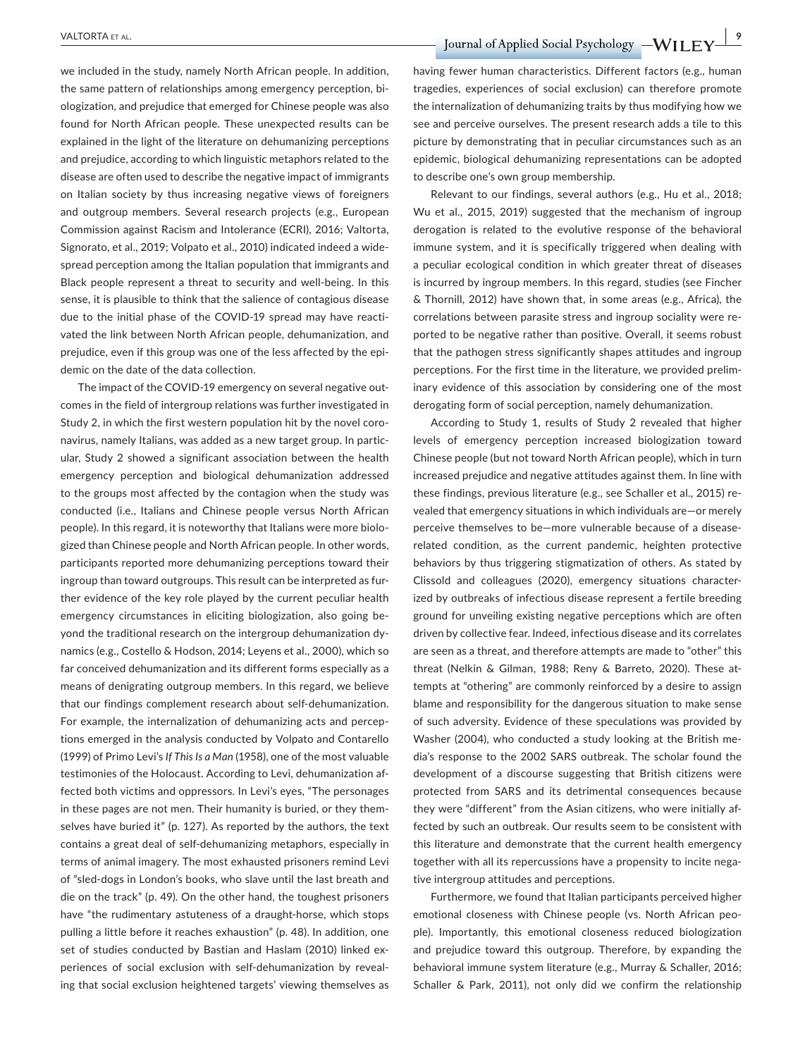we included in the study, namely North African people. In addition, the same pattern of relationships among emergency perception, biologization, and prejudice that emerged for Chinese people was also found for North African people. These unexpected results can be explained in the light of the literature on dehumanizing perceptions and prejudice, according to which linguistic metaphors related to the disease are often used to describe the negative impact of immigrants on Italian society by thus increasing negative views of foreigners and outgroup members. Several research projects (e.g., European Commission against Racism and Intolerance (ECRI), 2016; Valtorta, Signorato, et al., 2019; Volpato et al., 2010) indicated indeed a widespread perception among the Italian population that immigrants and Black people represent a threat to security and well-being. In this sense, it is plausible to think that the salience of contagious disease due to the initial phase of the COVID-19 spread may have reactivated the link between North African people, dehumanization, and prejudice, even if this group was one of the less affected by the epidemic on the date of the data collection.

The impact of the COVID-19 emergency on several negative outcomes in the field of intergroup relations was further investigated in Study 2, in which the first western population hit by the novel coronavirus, namely Italians, was added as a new target group. In particular, Study 2 showed a significant association between the health emergency perception and biological dehumanization addressed to the groups most affected by the contagion when the study was conducted (i.e., Italians and Chinese people versus North African people). In this regard, it is noteworthy that Italians were more biologized than Chinese people and North African people. In other words, participants reported more dehumanizing perceptions toward their ingroup than toward outgroups. This result can be interpreted as further evidence of the key role played by the current peculiar health emergency circumstances in eliciting biologization, also going beyond the traditional research on the intergroup dehumanization dynamics (e.g., Costello & Hodson, 2014; Leyens et al., 2000), which so far conceived dehumanization and its different forms especially as a means of denigrating outgroup members. In this regard, we believe that our findings complement research about self-dehumanization. For example, the internalization of dehumanizing acts and perceptions emerged in the analysis conducted by Volpato and Contarello (1999) of Primo Levi's *If This Is a Man* (1958), one of the most valuable testimonies of the Holocaust. According to Levi, dehumanization affected both victims and oppressors. In Levi's eyes, "The personages in these pages are not men. Their humanity is buried, or they themselves have buried it" (p. 127). As reported by the authors, the text contains a great deal of self-dehumanizing metaphors, especially in terms of animal imagery. The most exhausted prisoners remind Levi of "sled-dogs in London's books, who slave until the last breath and die on the track" (p. 49). On the other hand, the toughest prisoners have "the rudimentary astuteness of a draught-horse, which stops pulling a little before it reaches exhaustion" (p. 48). In addition, one set of studies conducted by Bastian and Haslam (2010) linked experiences of social exclusion with self-dehumanization by revealing that social exclusion heightened targets' viewing themselves as

 **PALTORTA ET AL. 2018 TO REFERENCE ASSAULT ASSAULT ASSAULT AT A PARTICLE OF A PROPERTY OF A PROPERTY OF A PROPERTY OF A PROPERTY OF A PROPERTY OF A PROPERTY OF A PROPERTY OF A PROPERTY OF A PROPERTY OF A PROPERTY OF A** 

having fewer human characteristics. Different factors (e.g., human tragedies, experiences of social exclusion) can therefore promote the internalization of dehumanizing traits by thus modifying how we see and perceive ourselves. The present research adds a tile to this picture by demonstrating that in peculiar circumstances such as an epidemic, biological dehumanizing representations can be adopted to describe one's own group membership.

Relevant to our findings, several authors (e.g., Hu et al., 2018; Wu et al., 2015, 2019) suggested that the mechanism of ingroup derogation is related to the evolutive response of the behavioral immune system, and it is specifically triggered when dealing with a peculiar ecological condition in which greater threat of diseases is incurred by ingroup members. In this regard, studies (see Fincher & Thornill, 2012) have shown that, in some areas (e.g., Africa), the correlations between parasite stress and ingroup sociality were reported to be negative rather than positive. Overall, it seems robust that the pathogen stress significantly shapes attitudes and ingroup perceptions. For the first time in the literature, we provided preliminary evidence of this association by considering one of the most derogating form of social perception, namely dehumanization.

According to Study 1, results of Study 2 revealed that higher levels of emergency perception increased biologization toward Chinese people (but not toward North African people), which in turn increased prejudice and negative attitudes against them. In line with these findings, previous literature (e.g., see Schaller et al., 2015) revealed that emergency situations in which individuals are—or merely perceive themselves to be—more vulnerable because of a diseaserelated condition, as the current pandemic, heighten protective behaviors by thus triggering stigmatization of others. As stated by Clissold and colleagues (2020), emergency situations characterized by outbreaks of infectious disease represent a fertile breeding ground for unveiling existing negative perceptions which are often driven by collective fear. Indeed, infectious disease and its correlates are seen as a threat, and therefore attempts are made to "other" this threat (Nelkin & Gilman, 1988; Reny & Barreto, 2020). These attempts at "othering" are commonly reinforced by a desire to assign blame and responsibility for the dangerous situation to make sense of such adversity. Evidence of these speculations was provided by Washer (2004), who conducted a study looking at the British media's response to the 2002 SARS outbreak. The scholar found the development of a discourse suggesting that British citizens were protected from SARS and its detrimental consequences because they were "different" from the Asian citizens, who were initially affected by such an outbreak. Our results seem to be consistent with this literature and demonstrate that the current health emergency together with all its repercussions have a propensity to incite negative intergroup attitudes and perceptions.

Furthermore, we found that Italian participants perceived higher emotional closeness with Chinese people (vs. North African people). Importantly, this emotional closeness reduced biologization and prejudice toward this outgroup. Therefore, by expanding the behavioral immune system literature (e.g., Murray & Schaller, 2016; Schaller & Park, 2011), not only did we confirm the relationship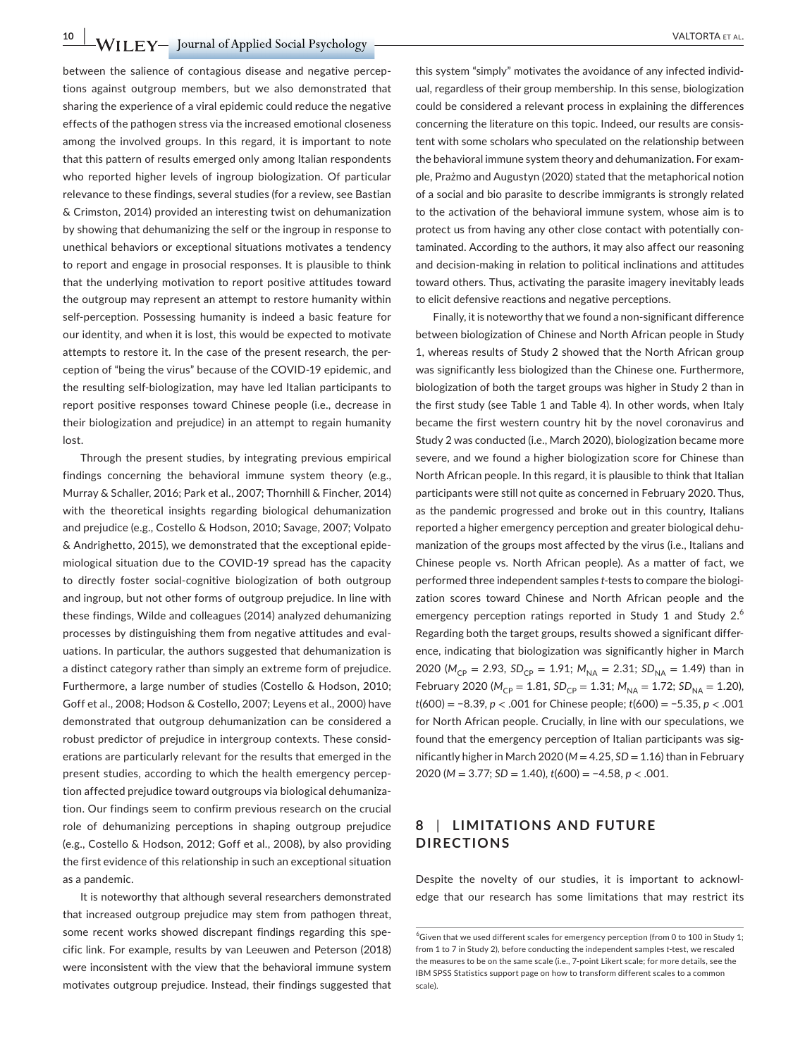**10 ION ION CONTRACT SET ALL TO PROPER SOCIAL PSYCHOLOGY CONTRACT ALL TO PROPER SOCIAL PROPER SOCIAL PROPER SOCIAL PROPER SOCIAL PROPER SOCIAL PROPER SOCIAL PROPER SOCIAL PROPER SOCIAL PROPERTY ALL TO PROPER SOCIAL PROPERT** 

between the salience of contagious disease and negative perceptions against outgroup members, but we also demonstrated that sharing the experience of a viral epidemic could reduce the negative effects of the pathogen stress via the increased emotional closeness among the involved groups. In this regard, it is important to note that this pattern of results emerged only among Italian respondents who reported higher levels of ingroup biologization. Of particular relevance to these findings, several studies (for a review, see Bastian & Crimston, 2014) provided an interesting twist on dehumanization by showing that dehumanizing the self or the ingroup in response to unethical behaviors or exceptional situations motivates a tendency to report and engage in prosocial responses. It is plausible to think that the underlying motivation to report positive attitudes toward the outgroup may represent an attempt to restore humanity within self-perception. Possessing humanity is indeed a basic feature for our identity, and when it is lost, this would be expected to motivate attempts to restore it. In the case of the present research, the perception of "being the virus" because of the COVID-19 epidemic, and the resulting self-biologization, may have led Italian participants to report positive responses toward Chinese people (i.e., decrease in their biologization and prejudice) in an attempt to regain humanity lost.

Through the present studies, by integrating previous empirical findings concerning the behavioral immune system theory (e.g., Murray & Schaller, 2016; Park et al., 2007; Thornhill & Fincher, 2014) with the theoretical insights regarding biological dehumanization and prejudice (e.g., Costello & Hodson, 2010; Savage, 2007; Volpato & Andrighetto, 2015), we demonstrated that the exceptional epidemiological situation due to the COVID-19 spread has the capacity to directly foster social-cognitive biologization of both outgroup and ingroup, but not other forms of outgroup prejudice. In line with these findings, Wilde and colleagues (2014) analyzed dehumanizing processes by distinguishing them from negative attitudes and evaluations. In particular, the authors suggested that dehumanization is a distinct category rather than simply an extreme form of prejudice. Furthermore, a large number of studies (Costello & Hodson, 2010; Goff et al., 2008; Hodson & Costello, 2007; Leyens et al., 2000) have demonstrated that outgroup dehumanization can be considered a robust predictor of prejudice in intergroup contexts. These considerations are particularly relevant for the results that emerged in the present studies, according to which the health emergency perception affected prejudice toward outgroups via biological dehumanization. Our findings seem to confirm previous research on the crucial role of dehumanizing perceptions in shaping outgroup prejudice (e.g., Costello & Hodson, 2012; Goff et al., 2008), by also providing the first evidence of this relationship in such an exceptional situation as a pandemic.

It is noteworthy that although several researchers demonstrated that increased outgroup prejudice may stem from pathogen threat, some recent works showed discrepant findings regarding this specific link. For example, results by van Leeuwen and Peterson (2018) were inconsistent with the view that the behavioral immune system motivates outgroup prejudice. Instead, their findings suggested that

this system "simply" motivates the avoidance of any infected individual, regardless of their group membership. In this sense, biologization could be considered a relevant process in explaining the differences concerning the literature on this topic. Indeed, our results are consistent with some scholars who speculated on the relationship between the behavioral immune system theory and dehumanization. For example, Prażmo and Augustyn (2020) stated that the metaphorical notion of a social and bio parasite to describe immigrants is strongly related to the activation of the behavioral immune system, whose aim is to protect us from having any other close contact with potentially contaminated. According to the authors, it may also affect our reasoning and decision-making in relation to political inclinations and attitudes toward others. Thus, activating the parasite imagery inevitably leads to elicit defensive reactions and negative perceptions.

Finally, it is noteworthy that we found a non-significant difference between biologization of Chinese and North African people in Study 1, whereas results of Study 2 showed that the North African group was significantly less biologized than the Chinese one. Furthermore, biologization of both the target groups was higher in Study 2 than in the first study (see Table 1 and Table 4). In other words, when Italy became the first western country hit by the novel coronavirus and Study 2 was conducted (i.e., March 2020), biologization became more severe, and we found a higher biologization score for Chinese than North African people. In this regard, it is plausible to think that Italian participants were still not quite as concerned in February 2020. Thus, as the pandemic progressed and broke out in this country, Italians reported a higher emergency perception and greater biological dehumanization of the groups most affected by the virus (i.e., Italians and Chinese people vs. North African people). As a matter of fact, we performed three independent samples *t*-tests to compare the biologization scores toward Chinese and North African people and the emergency perception ratings reported in Study 1 and Study  $2^6$ Regarding both the target groups, results showed a significant difference, indicating that biologization was significantly higher in March 2020 ( $M_{CP}$  = 2.93,  $SD_{CP}$  = 1.91;  $M_{NA}$  = 2.31;  $SD_{NA}$  = 1.49) than in February 2020 ( $M_{CP} = 1.81$ ,  $SD_{CP} = 1.31$ ;  $M_{NA} = 1.72$ ;  $SD_{NA} = 1.20$ ), *t*(600) = −8.39, *p* < .001 for Chinese people; *t*(600) = −5.35, *p* < .001 for North African people. Crucially, in line with our speculations, we found that the emergency perception of Italian participants was significantly higher in March 2020 (*M* = 4.25, *SD* = 1.16) than in February 2020 (*M* = 3.77; *SD* = 1.40), *t*(600) = −4.58, *p* < .001.

# **8** | **LIMITATIONS AND FUTURE DIRECTIONS**

Despite the novelty of our studies, it is important to acknowledge that our research has some limitations that may restrict its

<sup>&</sup>lt;sup>6</sup>Given that we used different scales for emergency perception (from 0 to 100 in Study 1; from 1 to 7 in Study 2), before conducting the independent samples *t*-test, we rescaled the measures to be on the same scale (i.e., 7-point Likert scale; for more details, see the IBM SPSS Statistics support page on how to transform different scales to a common scale).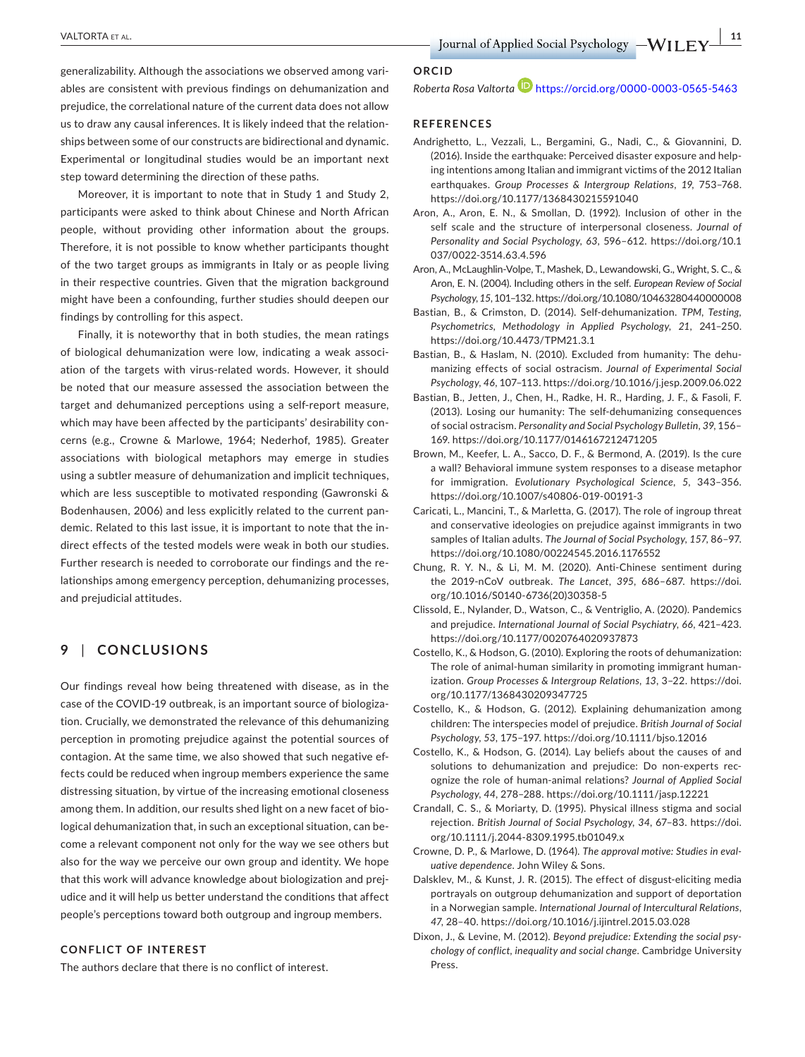**DESPEND AND RESPECT ALL CONTRACT ALL CONTRACT ALL CONTRACT ALL CONTRACT ALL CONTRACT ALL CONTRACT ALL CONTRACT ALL CONTRACT ALL CONTRACT ALL CONTRACT ALL CONTRACT ALL CONTRACT ALL CONTRACT ALL CONTRACT ALL CONTRACT ALL C** 

generalizability. Although the associations we observed among variables are consistent with previous findings on dehumanization and prejudice, the correlational nature of the current data does not allow us to draw any causal inferences. It is likely indeed that the relationships between some of our constructs are bidirectional and dynamic. Experimental or longitudinal studies would be an important next step toward determining the direction of these paths.

Moreover, it is important to note that in Study 1 and Study 2, participants were asked to think about Chinese and North African people, without providing other information about the groups. Therefore, it is not possible to know whether participants thought of the two target groups as immigrants in Italy or as people living in their respective countries. Given that the migration background might have been a confounding, further studies should deepen our findings by controlling for this aspect.

Finally, it is noteworthy that in both studies, the mean ratings of biological dehumanization were low, indicating a weak association of the targets with virus-related words. However, it should be noted that our measure assessed the association between the target and dehumanized perceptions using a self-report measure, which may have been affected by the participants' desirability concerns (e.g., Crowne & Marlowe, 1964; Nederhof, 1985). Greater associations with biological metaphors may emerge in studies using a subtler measure of dehumanization and implicit techniques, which are less susceptible to motivated responding (Gawronski & Bodenhausen, 2006) and less explicitly related to the current pandemic. Related to this last issue, it is important to note that the indirect effects of the tested models were weak in both our studies. Further research is needed to corroborate our findings and the relationships among emergency perception, dehumanizing processes, and prejudicial attitudes.

# **9** | **CONCLUSIONS**

Our findings reveal how being threatened with disease, as in the case of the COVID-19 outbreak, is an important source of biologization. Crucially, we demonstrated the relevance of this dehumanizing perception in promoting prejudice against the potential sources of contagion. At the same time, we also showed that such negative effects could be reduced when ingroup members experience the same distressing situation, by virtue of the increasing emotional closeness among them. In addition, our results shed light on a new facet of biological dehumanization that, in such an exceptional situation, can become a relevant component not only for the way we see others but also for the way we perceive our own group and identity. We hope that this work will advance knowledge about biologization and prejudice and it will help us better understand the conditions that affect people's perceptions toward both outgroup and ingroup members.

#### **CONFLICT OF INTEREST**

The authors declare that there is no conflict of interest.

#### **ORCID**

Roberta Rosa Valtorta<sup>D</sup> <https://orcid.org/0000-0003-0565-5463>

#### **REFERENCES**

- Andrighetto, L., Vezzali, L., Bergamini, G., Nadi, C., & Giovannini, D. (2016). Inside the earthquake: Perceived disaster exposure and helping intentions among Italian and immigrant victims of the 2012 Italian earthquakes. *Group Processes & Intergroup Relations*, *19*, 753–768. <https://doi.org/10.1177/1368430215591040>
- Aron, A., Aron, E. N., & Smollan, D. (1992). Inclusion of other in the self scale and the structure of interpersonal closeness. *Journal of Personality and Social Psychology*, *63*, 596–612. [https://doi.org/10.1](https://doi.org/10.1037/0022-3514.63.4.596) [037/0022-3514.63.4.596](https://doi.org/10.1037/0022-3514.63.4.596)
- Aron, A., McLaughlin-Volpe, T., Mashek, D., Lewandowski, G., Wright, S. C., & Aron, E. N. (2004). Including others in the self. *European Review of Social Psychology*, *15*, 101–132.<https://doi.org/10.1080/10463280440000008>
- Bastian, B., & Crimston, D. (2014). Self-dehumanization. *TPM, Testing, Psychometrics, Methodology in Applied Psychology*, *21*, 241–250. <https://doi.org/10.4473/TPM21.3.1>
- Bastian, B., & Haslam, N. (2010). Excluded from humanity: The dehumanizing effects of social ostracism. *Journal of Experimental Social Psychology*, *46*, 107–113.<https://doi.org/10.1016/j.jesp.2009.06.022>
- Bastian, B., Jetten, J., Chen, H., Radke, H. R., Harding, J. F., & Fasoli, F. (2013). Losing our humanity: The self-dehumanizing consequences of social ostracism. *Personality and Social Psychology Bulletin*, *39*, 156– 169. <https://doi.org/10.1177/0146167212471205>
- Brown, M., Keefer, L. A., Sacco, D. F., & Bermond, A. (2019). Is the cure a wall? Behavioral immune system responses to a disease metaphor for immigration. *Evolutionary Psychological Science*, *5*, 343–356. <https://doi.org/10.1007/s40806-019-00191-3>
- Caricati, L., Mancini, T., & Marletta, G. (2017). The role of ingroup threat and conservative ideologies on prejudice against immigrants in two samples of Italian adults. *The Journal of Social Psychology*, *157*, 86–97. <https://doi.org/10.1080/00224545.2016.1176552>
- Chung, R. Y. N., & Li, M. M. (2020). Anti-Chinese sentiment during the 2019-nCoV outbreak. *The Lancet*, *395*, 686–687. [https://doi.](https://doi.org/10.1016/S0140-6736(20)30358-5) [org/10.1016/S0140-6736\(20\)30358-5](https://doi.org/10.1016/S0140-6736(20)30358-5)
- Clissold, E., Nylander, D., Watson, C., & Ventriglio, A. (2020). Pandemics and prejudice. *International Journal of Social Psychiatry*, *66*, 421–423. <https://doi.org/10.1177/0020764020937873>
- Costello, K., & Hodson, G. (2010). Exploring the roots of dehumanization: The role of animal-human similarity in promoting immigrant humanization. *Group Processes & Intergroup Relations*, *13*, 3–22. [https://doi.](https://doi.org/10.1177/1368430209347725) [org/10.1177/1368430209347725](https://doi.org/10.1177/1368430209347725)
- Costello, K., & Hodson, G. (2012). Explaining dehumanization among children: The interspecies model of prejudice. *British Journal of Social Psychology*, *53*, 175–197. <https://doi.org/10.1111/bjso.12016>
- Costello, K., & Hodson, G. (2014). Lay beliefs about the causes of and solutions to dehumanization and prejudice: Do non-experts recognize the role of human-animal relations? *Journal of Applied Social Psychology*, *44*, 278–288. <https://doi.org/10.1111/jasp.12221>
- Crandall, C. S., & Moriarty, D. (1995). Physical illness stigma and social rejection. *British Journal of Social Psychology*, *34*, 67–83. [https://doi.](https://doi.org/10.1111/j.2044-8309.1995.tb01049.x) [org/10.1111/j.2044-8309.1995.tb01049.x](https://doi.org/10.1111/j.2044-8309.1995.tb01049.x)
- Crowne, D. P., & Marlowe, D. (1964). *The approval motive: Studies in evaluative dependence*. John Wiley & Sons.
- Dalsklev, M., & Kunst, J. R. (2015). The effect of disgust-eliciting media portrayals on outgroup dehumanization and support of deportation in a Norwegian sample. *International Journal of Intercultural Relations*, *47*, 28–40.<https://doi.org/10.1016/j.ijintrel.2015.03.028>
- Dixon, J., & Levine, M. (2012). *Beyond prejudice: Extending the social psychology of conflict, inequality and social change*. Cambridge University Press.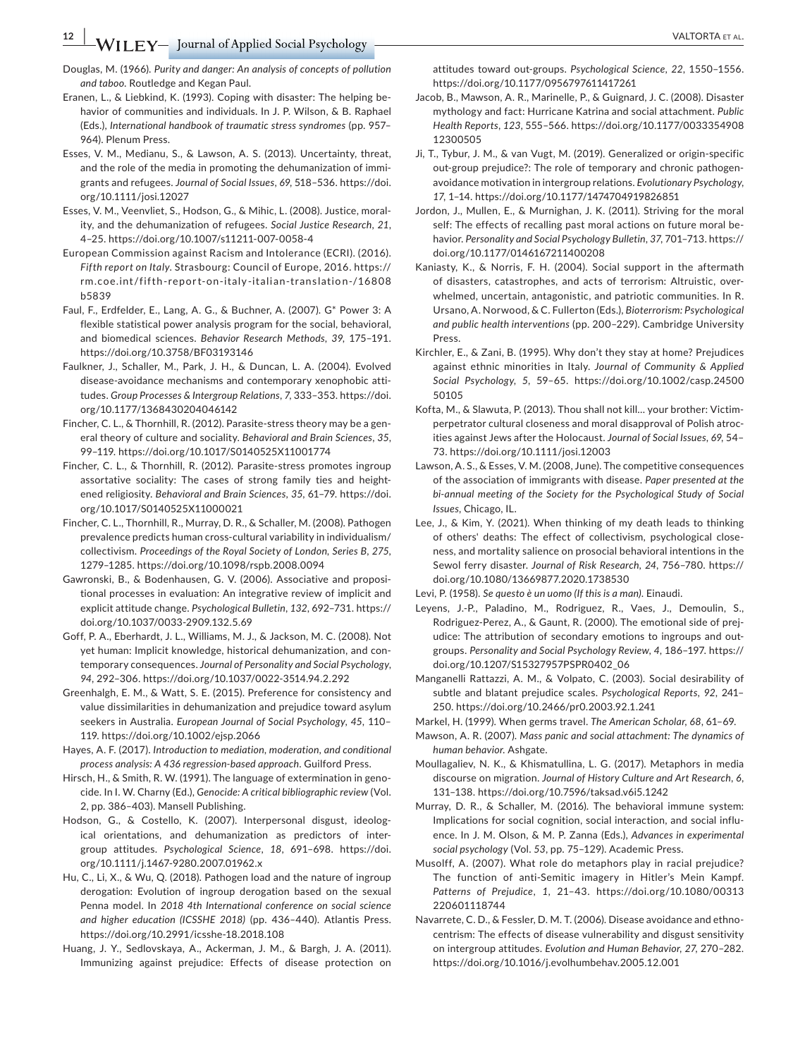Douglas, M. (1966). *Purity and danger: An analysis of concepts of pollution and taboo*. Routledge and Kegan Paul.

Eranen, L., & Liebkind, K. (1993). Coping with disaster: The helping behavior of communities and individuals. In J. P. Wilson, & B. Raphael (Eds.), *International handbook of traumatic stress syndromes* (pp. 957– 964). Plenum Press.

Esses, V. M., Medianu, S., & Lawson, A. S. (2013). Uncertainty, threat, and the role of the media in promoting the dehumanization of immigrants and refugees. *Journal of Social Issues*, *69*, 518–536. [https://doi.](https://doi.org/10.1111/josi.12027) [org/10.1111/josi.12027](https://doi.org/10.1111/josi.12027)

Esses, V. M., Veenvliet, S., Hodson, G., & Mihic, L. (2008). Justice, morality, and the dehumanization of refugees. *Social Justice Research*, *21*, 4–25.<https://doi.org/10.1007/s11211-007-0058-4>

European Commission against Racism and Intolerance (ECRI). (2016). *Fifth report on Italy*. Strasbourg: Council of Europe, 2016. [https://](https://rm.coe.int/fifth-report-on-italy-italian-translation-/16808b5839) [rm.coe.int/fifth-report-on-italy-itali](https://rm.coe.int/fifth-report-on-italy-italian-translation-/16808b5839)an-translation-/16808 [b5839](https://rm.coe.int/fifth-report-on-italy-italian-translation-/16808b5839)

Faul, F., Erdfelder, E., Lang, A. G., & Buchner, A. (2007). G\* Power 3: A flexible statistical power analysis program for the social, behavioral, and biomedical sciences. *Behavior Research Methods*, *39*, 175–191. <https://doi.org/10.3758/BF03193146>

Faulkner, J., Schaller, M., Park, J. H., & Duncan, L. A. (2004). Evolved disease-avoidance mechanisms and contemporary xenophobic attitudes. *Group Processes & Intergroup Relations*, *7*, 333–353. [https://doi.](https://doi.org/10.1177/1368430204046142) [org/10.1177/1368430204046142](https://doi.org/10.1177/1368430204046142)

Fincher, C. L., & Thornhill, R. (2012). Parasite-stress theory may be a general theory of culture and sociality. *Behavioral and Brain Sciences*, *35*, 99–119. <https://doi.org/10.1017/S0140525X11001774>

Fincher, C. L., & Thornhill, R. (2012). Parasite-stress promotes ingroup assortative sociality: The cases of strong family ties and heightened religiosity. *Behavioral and Brain Sciences*, *35*, 61–79. [https://doi.](https://doi.org/10.1017/S0140525X11000021) [org/10.1017/S0140525X11000021](https://doi.org/10.1017/S0140525X11000021)

Fincher, C. L., Thornhill, R., Murray, D. R., & Schaller, M. (2008). Pathogen prevalence predicts human cross-cultural variability in individualism/ collectivism. *Proceedings of the Royal Society of London, Series B*, *275*, 1279‒1285. <https://doi.org/10.1098/rspb.2008.0094>

Gawronski, B., & Bodenhausen, G. V. (2006). Associative and propositional processes in evaluation: An integrative review of implicit and explicit attitude change. *Psychological Bulletin*, *132*, 692–731. [https://](https://doi.org/10.1037/0033-2909.132.5.69) [doi.org/10.1037/0033-2909.132.5.69](https://doi.org/10.1037/0033-2909.132.5.69)

Goff, P. A., Eberhardt, J. L., Williams, M. J., & Jackson, M. C. (2008). Not yet human: Implicit knowledge, historical dehumanization, and contemporary consequences. *Journal of Personality and Social Psychology*, *94*, 292–306. <https://doi.org/10.1037/0022-3514.94.2.292>

Greenhalgh, E. M., & Watt, S. E. (2015). Preference for consistency and value dissimilarities in dehumanization and prejudice toward asylum seekers in Australia. *European Journal of Social Psychology*, *45*, 110– 119.<https://doi.org/10.1002/ejsp.2066>

Hayes, A. F. (2017). *Introduction to mediation, moderation, and conditional process analysis: A 436 regression-based approach*. Guilford Press.

Hirsch, H., & Smith, R. W. (1991). The language of extermination in genocide. In I. W. Charny (Ed.), *Genocide: A critical bibliographic review* (Vol. 2, pp. 386-403). Mansell Publishing.

Hodson, G., & Costello, K. (2007). Interpersonal disgust, ideological orientations, and dehumanization as predictors of intergroup attitudes. *Psychological Science*, *18*, 691–698. [https://doi.](https://doi.org/10.1111/j.1467-9280.2007.01962.x) [org/10.1111/j.1467-9280.2007.01962.x](https://doi.org/10.1111/j.1467-9280.2007.01962.x)

Hu, C., Li, X., & Wu, Q. (2018). Pathogen load and the nature of ingroup derogation: Evolution of ingroup derogation based on the sexual Penna model. In *2018 4th International conference on social science*  and higher education (ICSSHE 2018) (pp. 436-440). Atlantis Press. <https://doi.org/10.2991/icsshe-18.2018.108>

Huang, J. Y., Sedlovskaya, A., Ackerman, J. M., & Bargh, J. A. (2011). Immunizing against prejudice: Effects of disease protection on attitudes toward out-groups. *Psychological Science*, *22*, 1550–1556. <https://doi.org/10.1177/0956797611417261>

Jacob, B., Mawson, A. R., Marinelle, P., & Guignard, J. C. (2008). Disaster mythology and fact: Hurricane Katrina and social attachment. *Public Health Reports*, *123*, 555–566. [https://doi.org/10.1177/0033354908](https://doi.org/10.1177/003335490812300505) [12300505](https://doi.org/10.1177/003335490812300505)

Ji, T., Tybur, J. M., & van Vugt, M. (2019). Generalized or origin-specific out-group prejudice?: The role of temporary and chronic pathogenavoidance motivation in intergroup relations. *Evolutionary Psychology*, *17*, 1–14. <https://doi.org/10.1177/1474704919826851>

Jordon, J., Mullen, E., & Murnighan, J. K. (2011). Striving for the moral self: The effects of recalling past moral actions on future moral behavior. *Personality and Social Psychology Bulletin*, *37*, 701–713. [https://](https://doi.org/10.1177/0146167211400208) [doi.org/10.1177/0146167211400208](https://doi.org/10.1177/0146167211400208)

Kaniasty, K., & Norris, F. H. (2004). Social support in the aftermath of disasters, catastrophes, and acts of terrorism: Altruistic, overwhelmed, uncertain, antagonistic, and patriotic communities. In R. Ursano, A. Norwood, & C. Fullerton (Eds.), *Bioterrorism: Psychological and public health interventions* (pp. 200–229). Cambridge University Press.

Kirchler, E., & Zani, B. (1995). Why don't they stay at home? Prejudices against ethnic minorities in Italy. *Journal of Community & Applied Social Psychology*, *5*, 59–65. [https://doi.org/10.1002/casp.24500](https://doi.org/10.1002/casp.2450050105) [50105](https://doi.org/10.1002/casp.2450050105)

Kofta, M., & Slawuta, P. (2013). Thou shall not kill… your brother: Victimperpetrator cultural closeness and moral disapproval of Polish atrocities against Jews after the Holocaust. *Journal of Social Issues*, *69*, 54– 73.<https://doi.org/10.1111/josi.12003>

Lawson, A. S., & Esses, V. M. (2008, June). The competitive consequences of the association of immigrants with disease. *Paper presented at the bi-annual meeting of the Society for the Psychological Study of Social Issues*, Chicago, IL.

Lee, J., & Kim, Y. (2021). When thinking of my death leads to thinking of others' deaths: The effect of collectivism, psychological closeness, and mortality salience on prosocial behavioral intentions in the Sewol ferry disaster. *Journal of Risk Research*, *24*, 756–780. [https://](https://doi.org/10.1080/13669877.2020.1738530) [doi.org/10.1080/13669877.2020.1738530](https://doi.org/10.1080/13669877.2020.1738530)

Levi, P. (1958). *Se questo è un uomo (If this is a man)*. Einaudi.

Leyens, J.-P., Paladino, M., Rodriguez, R., Vaes, J., Demoulin, S., Rodriguez-Perez, A., & Gaunt, R. (2000). The emotional side of prejudice: The attribution of secondary emotions to ingroups and outgroups. *Personality and Social Psychology Review*, *4*, 186–197. [https://](https://doi.org/10.1207/S15327957PSPR0402_06) [doi.org/10.1207/S15327957PSPR0402\\_06](https://doi.org/10.1207/S15327957PSPR0402_06)

Manganelli Rattazzi, A. M., & Volpato, C. (2003). Social desirability of subtle and blatant prejudice scales. *Psychological Reports*, *92*, 241– 250. <https://doi.org/10.2466/pr0.2003.92.1.241>

Markel, H. (1999). When germs travel. *The American Scholar*, *68*, 61–69.

Mawson, A. R. (2007). *Mass panic and social attachment: The dynamics of human behavior*. Ashgate.

Moullagaliev, N. K., & Khismatullina, L. G. (2017). Metaphors in media discourse on migration. *Journal of History Culture and Art Research*, *6*, 131–138. <https://doi.org/10.7596/taksad.v6i5.1242>

Murray, D. R., & Schaller, M. (2016). The behavioral immune system: Implications for social cognition, social interaction, and social influence. In J. M. Olson, & M. P. Zanna (Eds.), *Advances in experimental social psychology* (Vol. *53*, pp. 75–129). Academic Press.

Musolff, A. (2007). What role do metaphors play in racial prejudice? The function of anti-Semitic imagery in Hitler's Mein Kampf. *Patterns of Prejudice*, *1*, 21–43. [https://doi.org/10.1080/00313](https://doi.org/10.1080/00313220601118744) [220601118744](https://doi.org/10.1080/00313220601118744)

Navarrete, C. D., & Fessler, D. M. T. (2006). Disease avoidance and ethnocentrism: The effects of disease vulnerability and disgust sensitivity on intergroup attitudes. *Evolution and Human Behavior*, *27*, 270–282. <https://doi.org/10.1016/j.evolhumbehav.2005.12.001>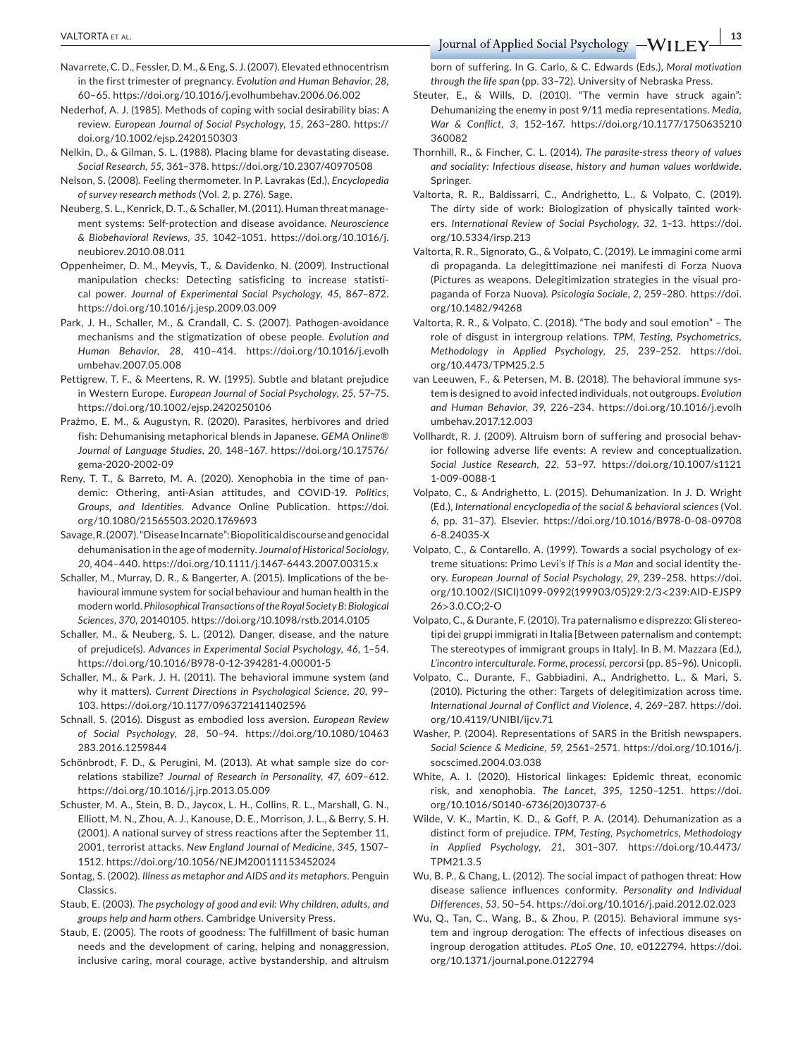- Navarrete, C. D., Fessler, D. M., & Eng, S. J. (2007). Elevated ethnocentrism in the first trimester of pregnancy. *Evolution and Human Behavior*, *28*, 60–65. <https://doi.org/10.1016/j.evolhumbehav.2006.06.002>
- Nederhof, A. J. (1985). Methods of coping with social desirability bias: A review. *European Journal of Social Psychology*, *15*, 263–280. [https://](https://doi.org/10.1002/ejsp.2420150303) [doi.org/10.1002/ejsp.2420150303](https://doi.org/10.1002/ejsp.2420150303)
- Nelkin, D., & Gilman, S. L. (1988). Placing blame for devastating disease. *Social Research*, *55*, 361–378. <https://doi.org/10.2307/40970508>
- Nelson, S. (2008). Feeling thermometer. In P. Lavrakas (Ed.), *Encyclopedia of survey research methods* (Vol. *2*, p. 276). Sage.
- Neuberg, S. L., Kenrick, D. T., & Schaller, M. (2011). Human threat management systems: Self-protection and disease avoidance. *Neuroscience & Biobehavioral Reviews*, *35*, 1042–1051. [https://doi.org/10.1016/j.](https://doi.org/10.1016/j.neubiorev.2010.08.011) [neubiorev.2010.08.011](https://doi.org/10.1016/j.neubiorev.2010.08.011)
- Oppenheimer, D. M., Meyvis, T., & Davidenko, N. (2009). Instructional manipulation checks: Detecting satisficing to increase statistical power. *Journal of Experimental Social Psychology*, *45*, 867–872. <https://doi.org/10.1016/j.jesp.2009.03.009>
- Park, J. H., Schaller, M., & Crandall, C. S. (2007). Pathogen-avoidance mechanisms and the stigmatization of obese people. *Evolution and Human Behavior*, *28*, 410–414. [https://doi.org/10.1016/j.evolh](https://doi.org/10.1016/j.evolhumbehav.2007.05.008) [umbehav.2007.05.008](https://doi.org/10.1016/j.evolhumbehav.2007.05.008)
- Pettigrew, T. F., & Meertens, R. W. (1995). Subtle and blatant prejudice in Western Europe. *European Journal of Social Psychology*, *25*, 57–75. <https://doi.org/10.1002/ejsp.2420250106>
- Prażmo, E. M., & Augustyn, R. (2020). Parasites, herbivores and dried fish: Dehumanising metaphorical blends in Japanese. *GEMA Online® Journal of Language Studies*, *20*, 148–167. [https://doi.org/10.17576/](https://doi.org/10.17576/gema-2020-2002-09) [gema-2020-2002-09](https://doi.org/10.17576/gema-2020-2002-09)
- Reny, T. T., & Barreto, M. A. (2020). Xenophobia in the time of pandemic: Othering, anti-Asian attitudes, and COVID-19. *Politics, Groups, and Identities*. Advance Online Publication. [https://doi.](https://doi.org/10.1080/21565503.2020.1769693) [org/10.1080/21565503.2020.1769693](https://doi.org/10.1080/21565503.2020.1769693)
- Savage, R. (2007). "Disease Incarnate": Biopolitical discourse and genocidal dehumanisation in the age of modernity. *Journal of Historical Sociology*, *20*, 404–440. <https://doi.org/10.1111/j.1467-6443.2007.00315.x>
- Schaller, M., Murray, D. R., & Bangerter, A. (2015). Implications of the behavioural immune system for social behaviour and human health in the modern world. *Philosophical Transactions of the Royal Society B: Biological Sciences*, *370*, 20140105. <https://doi.org/10.1098/rstb.2014.0105>
- Schaller, M., & Neuberg, S. L. (2012). Danger, disease, and the nature of prejudice(s). *Advances in Experimental Social Psychology*, *46*, 1–54. <https://doi.org/10.1016/B978-0-12-394281-4.00001-5>
- Schaller, M., & Park, J. H. (2011). The behavioral immune system (and why it matters). *Current Directions in Psychological Science*, *20*, 99– 103. <https://doi.org/10.1177/0963721411402596>
- Schnall, S. (2016). Disgust as embodied loss aversion. *European Review of Social Psychology*, *28*, 50–94. [https://doi.org/10.1080/10463](https://doi.org/10.1080/10463283.2016.1259844) [283.2016.1259844](https://doi.org/10.1080/10463283.2016.1259844)
- Schönbrodt, F. D., & Perugini, M. (2013). At what sample size do correlations stabilize? *Journal of Research in Personality*, *47*, 609–612. <https://doi.org/10.1016/j.jrp.2013.05.009>
- Schuster, M. A., Stein, B. D., Jaycox, L. H., Collins, R. L., Marshall, G. N., Elliott, M. N., Zhou, A. J., Kanouse, D. E., Morrison, J. L., & Berry, S. H. (2001). A national survey of stress reactions after the September 11, 2001, terrorist attacks. *New England Journal of Medicine*, *345*, 1507– 1512. <https://doi.org/10.1056/NEJM200111153452024>
- Sontag, S. (2002). *Illness as metaphor and AIDS and its metaphors*. Penguin Classics.
- Staub, E. (2003). *The psychology of good and evil: Why children, adults, and groups help and harm others*. Cambridge University Press.
- Staub, E. (2005). The roots of goodness: The fulfillment of basic human needs and the development of caring, helping and nonaggression, inclusive caring, moral courage, active bystandership, and altruism

born of suffering. In G. Carlo, & C. Edwards (Eds.), *Moral motivation through the life span* (pp. 33–72). University of Nebraska Press.

- Steuter, E., & Wills, D. (2010). "The vermin have struck again": Dehumanizing the enemy in post 9/11 media representations. *Media, War & Conflict*, *3*, 152–167. [https://doi.org/10.1177/1750635210](https://doi.org/10.1177/1750635210360082) [360082](https://doi.org/10.1177/1750635210360082)
- Thornhill, R., & Fincher, C. L. (2014). *The parasite-stress theory of values and sociality: Infectious disease, history and human values worldwide*. Springer.
- Valtorta, R. R., Baldissarri, C., Andrighetto, L., & Volpato, C. (2019). The dirty side of work: Biologization of physically tainted workers. *International Review of Social Psychology*, *32*, 1–13. [https://doi.](https://doi.org/10.5334/irsp.213) [org/10.5334/irsp.213](https://doi.org/10.5334/irsp.213)
- Valtorta, R. R., Signorato, G., & Volpato, C. (2019). Le immagini come armi di propaganda. La delegittimazione nei manifesti di Forza Nuova (Pictures as weapons. Delegitimization strategies in the visual propaganda of Forza Nuova). *Psicologia Sociale*, *2*, 259–280. [https://doi.](https://doi.org/10.1482/94268) [org/10.1482/94268](https://doi.org/10.1482/94268)
- Valtorta, R. R., & Volpato, C. (2018). "The body and soul emotion" The role of disgust in intergroup relations. *TPM, Testing, Psychometrics, Methodology in Applied Psychology*, *25*, 239–252. [https://doi.](https://doi.org/10.4473/TPM25.2.5) [org/10.4473/TPM25.2.5](https://doi.org/10.4473/TPM25.2.5)
- van Leeuwen, F., & Petersen, M. B. (2018). The behavioral immune system is designed to avoid infected individuals, not outgroups. *Evolution and Human Behavior*, *39*, 226–234. [https://doi.org/10.1016/j.evolh](https://doi.org/10.1016/j.evolhumbehav.2017.12.003) [umbehav.2017.12.003](https://doi.org/10.1016/j.evolhumbehav.2017.12.003)
- Vollhardt, R. J. (2009). Altruism born of suffering and prosocial behavior following adverse life events: A review and conceptualization. *Social Justice Research*, *22*, 53–97. [https://doi.org/10.1007/s1121](https://doi.org/10.1007/s11211-009-0088-1) [1-009-0088-1](https://doi.org/10.1007/s11211-009-0088-1)
- Volpato, C., & Andrighetto, L. (2015). Dehumanization. In J. D. Wright (Ed.), *International encyclopedia of the social & behavioral sciences* (Vol. *6*, pp. 31–37). Elsevier. [https://doi.org/10.1016/B978-0-08-09708](https://doi.org/10.1016/B978-0-08-097086-8.24035-X) [6-8.24035-X](https://doi.org/10.1016/B978-0-08-097086-8.24035-X)
- Volpato, C., & Contarello, A. (1999). Towards a social psychology of extreme situations: Primo Levi's *If This is a Man* and social identity theory. *European Journal of Social Psychology*, *29*, 239–258. [https://doi.](https://doi.org/10.1002/(SICI)1099-0992(199903/05)29:2/3%3C239:AID-EJSP926%3E3.0.CO;2-O) [org/10.1002/\(SICI\)1099-0992\(199903/05\)29:2/3](https://doi.org/10.1002/(SICI)1099-0992(199903/05)29:2/3%3C239:AID-EJSP926%3E3.0.CO;2-O)<239:AID-EJSP9 26>[3.0.CO;2-O](https://doi.org/10.1002/(SICI)1099-0992(199903/05)29:2/3%3C239:AID-EJSP926%3E3.0.CO;2-O)
- Volpato, C., & Durante, F. (2010). Tra paternalismo e disprezzo: Gli stereotipi dei gruppi immigrati in Italia [Between paternalism and contempt: The stereotypes of immigrant groups in Italy]. In B. M. Mazzara (Ed.), *L'incontro interculturale. Forme, processi, percors*i (pp. 85‒96). Unicopli.
- Volpato, C., Durante, F., Gabbiadini, A., Andrighetto, L., & Mari, S. (2010). Picturing the other: Targets of delegitimization across time. *International Journal of Conflict and Violence*, *4*, 269–287. [https://doi.](https://doi.org/10.4119/UNIBI/ijcv.71) [org/10.4119/UNIBI/ijcv.71](https://doi.org/10.4119/UNIBI/ijcv.71)
- Washer, P. (2004). Representations of SARS in the British newspapers. *Social Science & Medicine*, *59*, 2561–2571. [https://doi.org/10.1016/j.](https://doi.org/10.1016/j.socscimed.2004.03.038) [socscimed.2004.03.038](https://doi.org/10.1016/j.socscimed.2004.03.038)
- White, A. I. (2020). Historical linkages: Epidemic threat, economic risk, and xenophobia. *The Lancet*, *395*, 1250–1251. [https://doi.](https://doi.org/10.1016/S0140-6736(20)30737-6) [org/10.1016/S0140-6736\(20\)30737-6](https://doi.org/10.1016/S0140-6736(20)30737-6)
- Wilde, V. K., Martin, K. D., & Goff, P. A. (2014). Dehumanization as a distinct form of prejudice. *TPM, Testing, Psychometrics, Methodology in Applied Psychology*, *21*, 301–307. [https://doi.org/10.4473/](https://doi.org/10.4473/TPM21.3.5) [TPM21.3.5](https://doi.org/10.4473/TPM21.3.5)
- Wu, B. P., & Chang, L. (2012). The social impact of pathogen threat: How disease salience influences conformity. *Personality and Individual Differences*, *53*, 50–54.<https://doi.org/10.1016/j.paid.2012.02.023>
- Wu, Q., Tan, C., Wang, B., & Zhou, P. (2015). Behavioral immune system and ingroup derogation: The effects of infectious diseases on ingroup derogation attitudes. *PLoS One*, *10*, e0122794. [https://doi.](https://doi.org/10.1371/journal.pone.0122794) [org/10.1371/journal.pone.0122794](https://doi.org/10.1371/journal.pone.0122794)